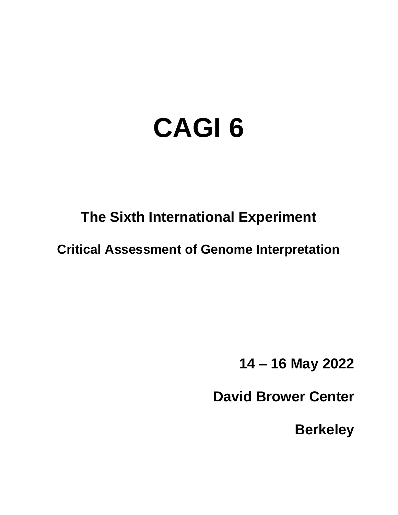# **CAGI 6**

# **The Sixth International Experiment**

**Critical Assessment of Genome Interpretation**

**14 – 16 May 2022**

**David Brower Center**

**Berkeley**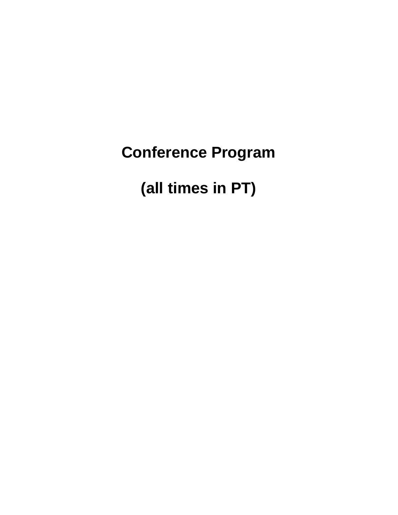**Conference Program**

**(all times in PT)**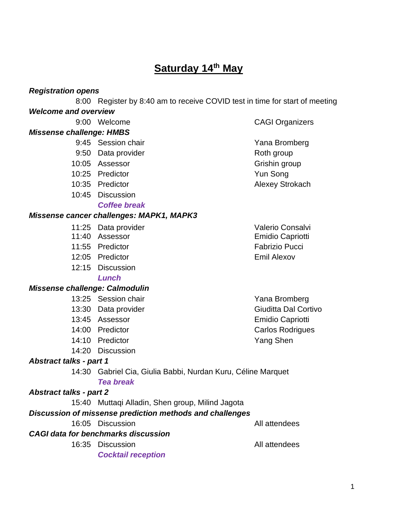### **Saturday 14th May**

#### *Registration opens*

8:00 Register by 8:40 am to receive COVID test in time for start of meeting *Welcome and overview*

#### *Missense challenge: HMBS*

- 9:45 Session chair **Yana Bromberg**
- 9:50 Data provider and the Roth group
- 10:05 Assessor Grishin group
- 10:25 Predictor Yun Song
- 10:35 Predictor **Alexey Strokach**
- 10:45 Discussion

#### *Coffee break*

#### *Missense cancer challenges: MAPK1, MAPK3*

- 11:25 Data provider values and valerio Consalvi
- 
- 11:55 Predictor Fabrizio Pucci
- 12:05 Predictor Emil Alexov
- 12:15 Discussion

*Lunch*

#### *Missense challenge: Calmodulin*

- 13:25 Session chair **Yana Bromberg**
- 
- 
- 
- 
- 14:20 Discussion

#### *Abstract talks - part 1*

14:30 Gabriel Cia, Giulia Babbi, Nurdan Kuru, Céline Marquet *Tea break*

#### *Abstract talks - part 2*

15:40 Muttaqi Alladin, Shen group, Milind Jagota

#### *Discussion of missense prediction methods and challenges*

16:05 Discussion All attendees

*CAGI data for benchmarks discussion*

16:35 Discussion **All attendees** 

*Cocktail reception*

11:40 Assessor **Emidio Capriotti** 

13:30 Data provider Giudita Dal Cortivo 13:45 Assessor **Emidio Capriotti** 14:00 Predictor **Carlos Rodrigues** Carlos Rodrigues 14:10 Predictor **Yang Shen** 

9:00 Welcome CAGI Organizers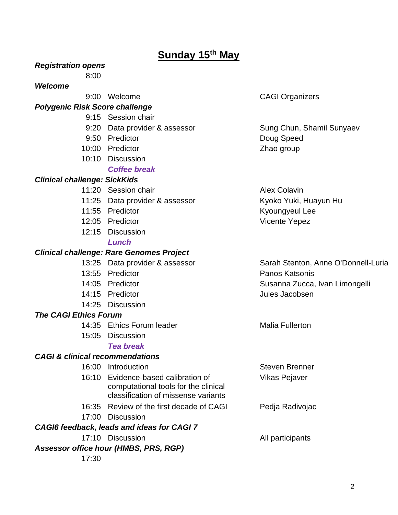### **Sunday 15th May**

*Registration opens*

8:00

#### *Welcome*

9:00 Welcome CAGI Organizers

#### *Polygenic Risk Score challenge*

- 9:15 Session chair
- 9:20 Data provider & assessor Sung Chun, Shamil Sunyaev
- 9:50 Predictor **Doug Speed**
- 10:00 Predictor **Zhao group**
- 10:10 Discussion *Coffee break*

#### *Clinical challenge: SickKids*

- 11:20 Session chair **Alex Colavin** Alex Colavin
- 11:25 Data provider & assessor Kyoko Yuki, Huayun Hu
- 
- 12:05 Predictor **Vicente Yepez**
- 12:15 Discussion

#### *Lunch*

#### *Clinical challenge: Rare Genomes Project*

- 
- 13:55 Predictor **Panos Katsonis**
- 
- 14:15 Predictor Jules Jacobsen
- 14:25 Discussion

#### *The CAGI Ethics Forum*

- 14:35 Ethics Forum leader Malia Fullerton
- 15:05 Discussion

#### *Tea break*

#### *CAGI & clinical recommendations*

16:00 Introduction Steven Brenner 16:10 Evidence-based calibration of computational tools for the clinical classification of missense variants Vikas Pejaver 16:35 Review of the first decade of CAGI Pedja Radivojac 17:00 Discussion *CAGI6 feedback, leads and ideas for CAGI 7* 17:10 Discussion **All participants** *Assessor office hour (HMBS, PRS, RGP)* 17:30

11:55 Predictor **Kyoungyeul Lee** 

13:25 Data provider & assessor Sarah Stenton, Anne O'Donnell-Luria 14:05 Predictor **Susanna Zucca, Ivan Limongelli** Susanna Zucca, Ivan Limongelli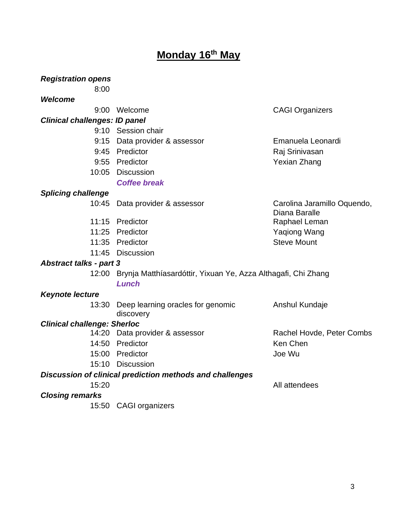### **Monday 16 th May**

*Registration opens*

| 8:00                                                            |                                                                              |                                              |
|-----------------------------------------------------------------|------------------------------------------------------------------------------|----------------------------------------------|
| <b>Welcome</b>                                                  |                                                                              |                                              |
|                                                                 | 9:00 Welcome                                                                 | <b>CAGI Organizers</b>                       |
| <b>Clinical challenges: ID panel</b>                            |                                                                              |                                              |
|                                                                 | 9:10 Session chair                                                           |                                              |
|                                                                 | 9:15 Data provider & assessor                                                | Emanuela Leonardi                            |
|                                                                 | 9:45 Predictor                                                               | Raj Srinivasan                               |
|                                                                 | 9:55 Predictor                                                               | <b>Yexian Zhang</b>                          |
|                                                                 | 10:05 Discussion                                                             |                                              |
|                                                                 | <b>Coffee break</b>                                                          |                                              |
| <b>Splicing challenge</b>                                       |                                                                              |                                              |
|                                                                 | 10:45 Data provider & assessor                                               | Carolina Jaramillo Oquendo,<br>Diana Baralle |
|                                                                 | 11:15 Predictor                                                              | Raphael Leman                                |
|                                                                 | 11:25 Predictor                                                              | <b>Yaqiong Wang</b>                          |
|                                                                 | 11:35 Predictor                                                              | <b>Steve Mount</b>                           |
|                                                                 | 11:45 Discussion                                                             |                                              |
| <b>Abstract talks - part 3</b>                                  |                                                                              |                                              |
|                                                                 | 12:00 Brynja Matthíasardóttir, Yixuan Ye, Azza Althagafi, Chi Zhang<br>Lunch |                                              |
| <b>Keynote lecture</b>                                          |                                                                              |                                              |
| 13:30                                                           | Deep learning oracles for genomic<br>discovery                               | Anshul Kundaje                               |
| <b>Clinical challenge: Sherloc</b>                              |                                                                              |                                              |
|                                                                 | 14:20 Data provider & assessor                                               | Rachel Hovde, Peter Combs                    |
|                                                                 | 14:50 Predictor                                                              | Ken Chen                                     |
|                                                                 | 15:00 Predictor                                                              | Joe Wu                                       |
|                                                                 | 15:10 Discussion                                                             |                                              |
| <b>Discussion of clinical prediction methods and challenges</b> |                                                                              |                                              |
| 15:20                                                           |                                                                              | All attendees                                |
| <b>Closing remarks</b>                                          |                                                                              |                                              |
|                                                                 | 15:50 CAGI organizers                                                        |                                              |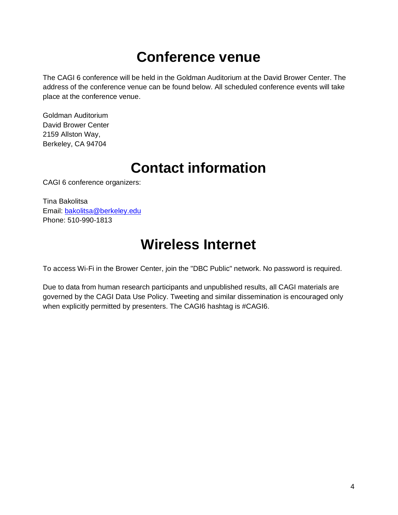### **Conference venue**

The CAGI 6 conference will be held in the Goldman Auditorium at the David Brower Center. The address of the conference venue can be found below. All scheduled conference events will take place at the conference venue.

Goldman Auditorium David Brower Center 2159 Allston Way, Berkeley, CA 94704

### **Contact information**

CAGI 6 conference organizers:

Tina Bakolitsa Email: [bakolitsa@berkeley.edu](mailto:bakolitsa@berkeley.edu) Phone: 510-990-1813

### **Wireless Internet**

To access Wi-Fi in the Brower Center, join the "DBC Public" network. No password is required.

Due to data from human research participants and unpublished results, all CAGI materials are governed by the CAGI Data Use Policy. Tweeting and similar dissemination is encouraged only when explicitly permitted by presenters. The CAGI6 hashtag is #CAGI6.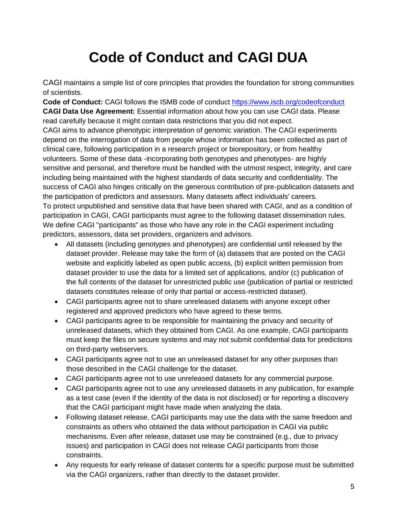# **Code of Conduct and CAGI DUA**

CAGI maintains a simple list of core principles that provides the foundation for strong communities of scientists.

**Code of Conduct:** CAGI follows the ISMB code of conduct<https://www.iscb.org/codeofconduct> **CAGI Data Use Agreement:** Essential information about how you can use CAGI data. Please read carefully because it might contain data restrictions that you did not expect.

CAGI aims to advance phenotypic interpretation of genomic variation. The CAGI experiments depend on the interrogation of data from people whose information has been collected as part of clinical care, following participation in a research project or biorepository, or from healthy volunteers. Some of these data -incorporating both genotypes and phenotypes- are highly sensitive and personal, and therefore must be handled with the utmost respect, integrity, and care including being maintained with the highest standards of data security and confidentiality. The success of CAGI also hinges critically on the generous contribution of pre-publication datasets and the participation of predictors and assessors. Many datasets affect individuals' careers. To protect unpublished and sensitive data that have been shared with CAGI, and as a condition of participation in CAGI, CAGI participants must agree to the following dataset dissemination rules. We define CAGI "participants" as those who have any role in the CAGI experiment including predictors, assessors, data set providers, organizers and advisors.

- All datasets (including genotypes and phenotypes) are confidential until released by the dataset provider. Release may take the form of (a) datasets that are posted on the CAGI website and explicitly labeled as open public access, (b) explicit written permission from dataset provider to use the data for a limited set of applications, and/or (c) publication of the full contents of the dataset for unrestricted public use (publication of partial or restricted datasets constitutes release of only that partial or access-restricted dataset).
- CAGI participants agree not to share unreleased datasets with anyone except other registered and approved predictors who have agreed to these terms.
- CAGI participants agree to be responsible for maintaining the privacy and security of unreleased datasets, which they obtained from CAGI. As one example, CAGI participants must keep the files on secure systems and may not submit confidential data for predictions on third-party webservers.
- CAGI participants agree not to use an unreleased dataset for any other purposes than those described in the CAGI challenge for the dataset.
- CAGI participants agree not to use unreleased datasets for any commercial purpose.
- CAGI participants agree not to use any unreleased datasets in any publication, for example as a test case (even if the identity of the data is not disclosed) or for reporting a discovery that the CAGI participant might have made when analyzing the data.
- Following dataset release, CAGI participants may use the data with the same freedom and constraints as others who obtained the data without participation in CAGI via public mechanisms. Even after release, dataset use may be constrained (e.g., due to privacy issues) and participation in CAGI does not release CAGI participants from those constraints.
- Any requests for early release of dataset contents for a specific purpose must be submitted via the CAGI organizers, rather than directly to the dataset provider.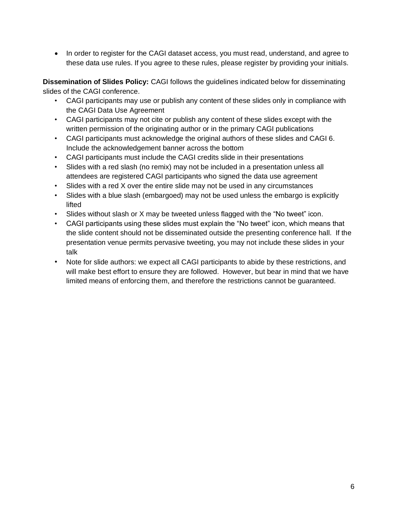• In order to register for the CAGI dataset access, you must read, understand, and agree to these data use rules. If you agree to these rules, please register by providing your initials.

**Dissemination of Slides Policy:** CAGI follows the guidelines indicated below for disseminating slides of the CAGI conference.

- CAGI participants may use or publish any content of these slides only in compliance with the CAGI Data Use Agreement
- CAGI participants may not cite or publish any content of these slides except with the written permission of the originating author or in the primary CAGI publications
- CAGI participants must acknowledge the original authors of these slides and CAGI 6. Include the acknowledgement banner across the bottom
- CAGI participants must include the CAGI credits slide in their presentations
- Slides with a red slash (no remix) may not be included in a presentation unless all attendees are registered CAGI participants who signed the data use agreement
- Slides with a red X over the entire slide may not be used in any circumstances
- Slides with a blue slash (embargoed) may not be used unless the embargo is explicitly lifted
- Slides without slash or X may be tweeted unless flagged with the "No tweet" icon.
- CAGI participants using these slides must explain the "No tweet" icon, which means that the slide content should not be disseminated outside the presenting conference hall. If the presentation venue permits pervasive tweeting, you may not include these slides in your talk
- Note for slide authors: we expect all CAGI participants to abide by these restrictions, and will make best effort to ensure they are followed. However, but bear in mind that we have limited means of enforcing them, and therefore the restrictions cannot be guaranteed.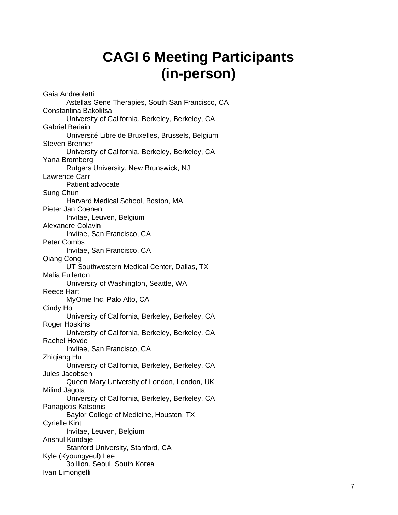# **CAGI 6 Meeting Participants (in-person)**

Gaia Andreoletti Astellas Gene Therapies, South San Francisco, CA Constantina Bakolitsa University of California, Berkeley, Berkeley, CA Gabriel Beriain Université Libre de Bruxelles, Brussels, Belgium Steven Brenner University of California, Berkeley, Berkeley, CA Yana Bromberg Rutgers University, New Brunswick, NJ Lawrence Carr Patient advocate Sung Chun Harvard Medical School, Boston, MA Pieter Jan Coenen Invitae, Leuven, Belgium Alexandre Colavin Invitae, San Francisco, CA Peter Combs Invitae, San Francisco, CA Qiang Cong UT Southwestern Medical Center, Dallas, TX Malia Fullerton University of Washington, Seattle, WA Reece Hart MyOme Inc, Palo Alto, CA Cindy Ho University of California, Berkeley, Berkeley, CA Roger Hoskins University of California, Berkeley, Berkeley, CA Rachel Hovde Invitae, San Francisco, CA Zhiqiang Hu University of California, Berkeley, Berkeley, CA Jules Jacobsen Queen Mary University of London, London, UK Milind Jagota University of California, Berkeley, Berkeley, CA Panagiotis Katsonis Baylor College of Medicine, Houston, TX Cyrielle Kint Invitae, Leuven, Belgium Anshul Kundaje Stanford University, Stanford, CA Kyle (Kyoungyeul) Lee 3billion, Seoul, South Korea Ivan Limongelli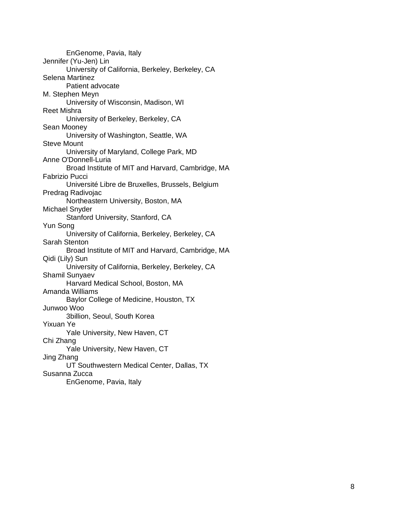EnGenome, Pavia, Italy Jennifer (Yu-Jen) Lin University of California, Berkeley, Berkeley, CA Selena Martinez Patient advocate M. Stephen Meyn University of Wisconsin, Madison, WI Reet Mishra University of Berkeley, Berkeley, CA Sean Mooney University of Washington, Seattle, WA Steve Mount University of Maryland, College Park, MD Anne O'Donnell-Luria Broad Institute of MIT and Harvard, Cambridge, MA Fabrizio Pucci Université Libre de Bruxelles, Brussels, Belgium Predrag Radivojac Northeastern University, Boston, MA Michael Snyder Stanford University, Stanford, CA Yun Song University of California, Berkeley, Berkeley, CA Sarah Stenton Broad Institute of MIT and Harvard, Cambridge, MA Qidi (Lily) Sun University of California, Berkeley, Berkeley, CA Shamil Sunyaev Harvard Medical School, Boston, MA Amanda Williams Baylor College of Medicine, Houston, TX Junwoo Woo 3billion, Seoul, South Korea Yixuan Ye Yale University, New Haven, CT Chi Zhang Yale University, New Haven, CT Jing Zhang UT Southwestern Medical Center, Dallas, TX Susanna Zucca EnGenome, Pavia, Italy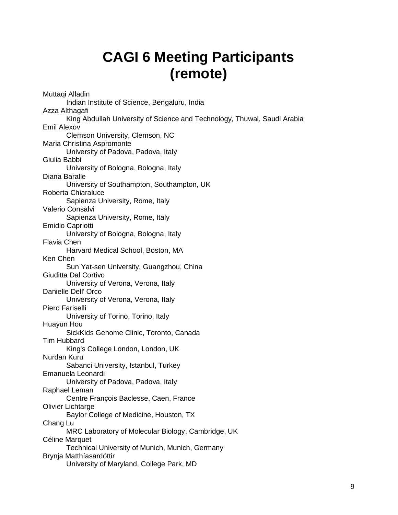# **CAGI 6 Meeting Participants (remote)**

Muttaqi Alladin Indian Institute of Science, Bengaluru, India Azza Althagafi King Abdullah University of Science and Technology, Thuwal, Saudi Arabia Emil Alexov Clemson University, Clemson, NC Maria Christina Aspromonte University of Padova, Padova, Italy Giulia Babbi University of Bologna, Bologna, Italy Diana Baralle University of Southampton, Southampton, UK Roberta Chiaraluce Sapienza University, Rome, Italy Valerio Consalvi Sapienza University, Rome, Italy Emidio Capriotti University of Bologna, Bologna, Italy Flavia Chen Harvard Medical School, Boston, MA Ken Chen Sun Yat-sen University, Guangzhou, China Giuditta Dal Cortivo University of Verona, Verona, Italy Danielle Dell' Orco University of Verona, Verona, Italy Piero Fariselli University of Torino, Torino, Italy Huayun Hou SickKids Genome Clinic, Toronto, Canada Tim Hubbard King's College London, London, UK Nurdan Kuru Sabanci University, Istanbul, Turkey Emanuela Leonardi University of Padova, Padova, Italy Raphael Leman Centre François Baclesse, Caen, France Olivier Lichtarge Baylor College of Medicine, Houston, TX Chang Lu MRC Laboratory of Molecular Biology, Cambridge, UK Céline Marquet Technical University of Munich, Munich, Germany Brynja Matthíasardóttir University of Maryland, College Park, MD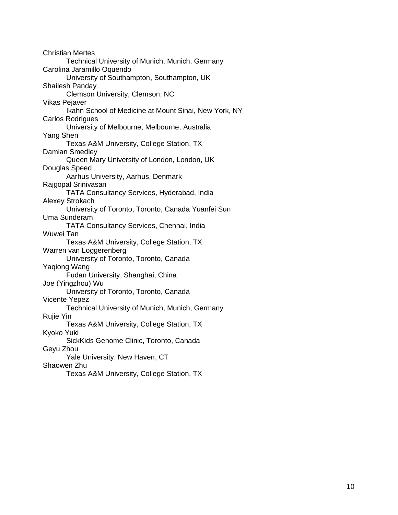Christian Mertes Technical University of Munich, Munich, Germany Carolina Jaramillo Oquendo University of Southampton, Southampton, UK Shailesh Panday Clemson University, Clemson, NC Vikas Pejaver Ikahn School of Medicine at Mount Sinai, New York, NY Carlos Rodrigues University of Melbourne, Melbourne, Australia Yang Shen Texas A&M University, College Station, TX Damian Smedley Queen Mary University of London, London, UK Douglas Speed Aarhus University, Aarhus, Denmark Rajgopal Srinivasan TATA Consultancy Services, Hyderabad, India Alexey Strokach University of Toronto, Toronto, Canada Yuanfei Sun Uma Sunderam TATA Consultancy Services, Chennai, India Wuwei Tan Texas A&M University, College Station, TX Warren van Loggerenberg University of Toronto, Toronto, Canada Yaqiong Wang Fudan University, Shanghai, China Joe (Yingzhou) Wu University of Toronto, Toronto, Canada Vicente Yepez Technical University of Munich, Munich, Germany Rujie Yin Texas A&M University, College Station, TX Kyoko Yuki SickKids Genome Clinic, Toronto, Canada Geyu Zhou Yale University, New Haven, CT Shaowen Zhu Texas A&M University, College Station, TX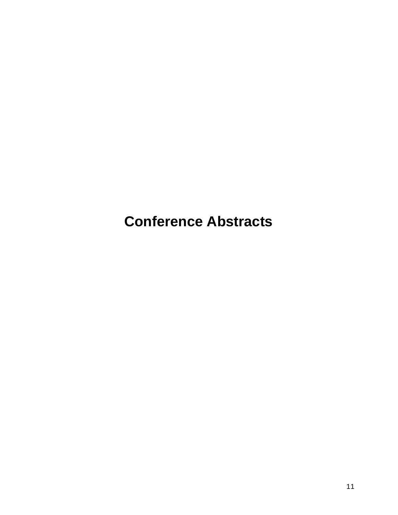**Conference Abstracts**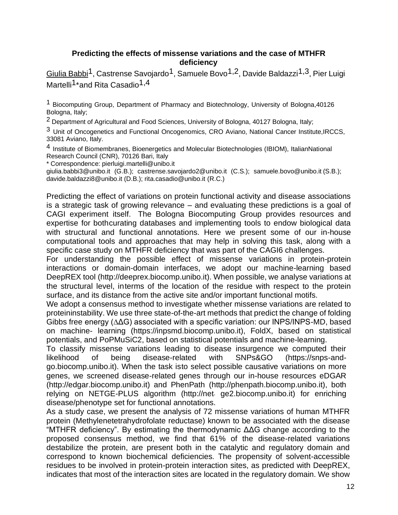#### **Predicting the effects of missense variations and the case of MTHFR deficiency**

Giulia Babbi<sup>1</sup>, Castrense Savojardo<sup>1</sup>, Samuele Bovo<sup>1,2</sup>, Davide Baldazzi<sup>1,3</sup>, Pier Luigi Martelli<sup>1\*</sup>and Rita Casadio<sup>1,4</sup>

1 Biocomputing Group, Department of Pharmacy and Biotechnology, University of Bologna,40126 Bologna, Italy;

<sup>2</sup> Department of Agricultural and Food Sciences, University of Bologna, 40127 Bologna, Italy;

<sup>3</sup> Unit of Oncogenetics and Functional Oncogenomics, CRO Aviano, National Cancer Institute, IRCCS, 33081 Aviano, Italy.

4 Institute of Biomembranes, Bioenergetics and Molecular Biotechnologies (IBIOM), ItalianNational Research Council (CNR), 70126 Bari, Italy

\* Correspondence: [pierluigi.martelli@unibo.it](mailto:pierluigi.martelli@unibo.it)

[giulia.babbi3@unibo.it \(](mailto:giulia.babbi3@unibo.it)G.B.); [castrense.savojardo2@unibo.it \(](mailto:castrense.savojardo2@unibo.it)C.S.); [samuele.bovo@unibo.it](mailto:samuele.bovo@unibo.it) (S.B.); [davide.baldazzi8@unibo.it](mailto:davide.baldazzi8@unibo.it) (D.B.); [rita.casadio@unibo.it](mailto:rita.casadio@unibo.it) (R.C.)

Predicting the effect of variations on protein functional activity and disease associations is a strategic task of growing relevance – and evaluating these predictions is a goal of CAGI experiment itself. The Bologna Biocomputing Group provides resources and expertise for bothcurating databases and implementing tools to endow biological data with structural and functional annotations. Here we present some of our in-house computational tools and approaches that may help in solving this task, along with a specific case study on MTHFR deficiency that was part of the CAGI6 challenges.

For understanding the possible effect of missense variations in protein-protein interactions or domain-domain interfaces, we adopt our machine-learning based DeepREX tool (http://deeprex.biocomp.unibo.it). When possible, we analyse variations at the structural level, interms of the location of the residue with respect to the protein surface, and its distance from the active site and/or important functional motifs.

We adopt a consensus method to investigate whether missense variations are related to proteininstability. We use three state-of-the-art methods that predict the change of folding Gibbs free energy (∆ΔG) associated with a specific variation: our INPS/INPS-MD, based on machine- learning (https://inpsmd.biocomp.unibo.it), FoldX, based on statistical potentials, and PoPMuSiC2, based on statistical potentials and machine-learning.

To classify missense variations leading to disease insurgence we computed their likelihood of being disease-related with SNPs&GO (https://snps-andgo.biocomp.unibo.it). When the task isto select possible causative variations on more genes, we screened disease-related genes through our in-house resources eDGAR (http://edgar.biocomp.unibo.it) and PhenPath (http://phenpath.biocomp.unibo.it), both relying on NETGE-PLUS algorithm [\(http://net](http://net-/)- ge2.biocomp.unibo.it) for enriching disease/phenotype set for functional annotations.

As a study case, we present the analysis of 72 missense variations of human MTHFR protein (Methylenetetrahydrofolate reductase) known to be associated with the disease "MTHFR deficiency". By estimating the thermodynamic ΔΔG change according to the proposed consensus method, we find that 61% of the disease-related variations destabilize the protein, are present both in the catalytic and regulatory domain and correspond to known biochemical deficiencies. The propensity of solvent-accessible residues to be involved in protein-protein interaction sites, as predicted with DeepREX, indicates that most of the interaction sites are located in the regulatory domain. We show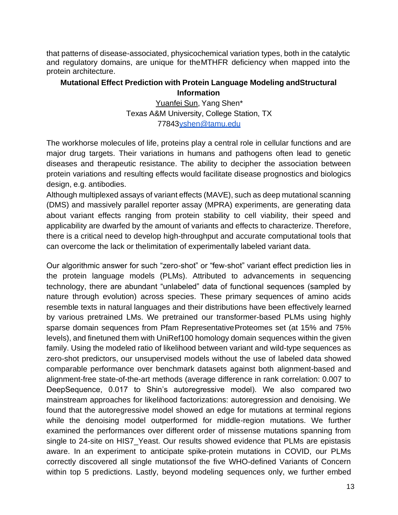that patterns of disease-associated, physicochemical variation types, both in the catalytic and regulatory domains, are unique for theMTHFR deficiency when mapped into the protein architecture.

#### **Mutational Effect Prediction with Protein Language Modeling andStructural Information**

Yuanfei Sun, Yang Shen\* Texas A&M University, College Station, TX 7784[3yshen@tamu.edu](mailto:yshen@tamu.edu)

The workhorse molecules of life, proteins play a central role in cellular functions and are major drug targets. Their variations in humans and pathogens often lead to genetic diseases and therapeutic resistance. The ability to decipher the association between protein variations and resulting effects would facilitate disease prognostics and biologics design, e.g. antibodies.

Although multiplexed assays of variant effects (MAVE), such as deep mutational scanning (DMS) and massively parallel reporter assay (MPRA) experiments, are generating data about variant effects ranging from protein stability to cell viability, their speed and applicability are dwarfed by the amount of variants and effects to characterize. Therefore, there is a critical need to develop high-throughput and accurate computational tools that can overcome the lack or thelimitation of experimentally labeled variant data.

Our algorithmic answer for such "zero-shot" or "few-shot" variant effect prediction lies in the protein language models (PLMs). Attributed to advancements in sequencing technology, there are abundant "unlabeled" data of functional sequences (sampled by nature through evolution) across species. These primary sequences of amino acids resemble texts in natural languages and their distributions have been effectively learned by various pretrained LMs. We pretrained our transformer-based PLMs using highly sparse domain sequences from Pfam RepresentativeProteomes set (at 15% and 75% levels), and finetuned them with UniRef100 homology domain sequences within the given family. Using the modeled ratio of likelihood between variant and wild-type sequences as zero-shot predictors, our unsupervised models without the use of labeled data showed comparable performance over benchmark datasets against both alignment-based and alignment-free state-of-the-art methods (average difference in rank correlation: 0.007 to DeepSequence, 0.017 to Shin's autoregressive model). We also compared two mainstream approaches for likelihood factorizations: autoregression and denoising. We found that the autoregressive model showed an edge for mutations at terminal regions while the denoising model outperformed for middle-region mutations. We further examined the performances over different order of missense mutations spanning from single to 24-site on HIS7\_Yeast. Our results showed evidence that PLMs are epistasis aware. In an experiment to anticipate spike-protein mutations in COVID, our PLMs correctly discovered all single mutationsof the five WHO-defined Variants of Concern within top 5 predictions. Lastly, beyond modeling sequences only, we further embed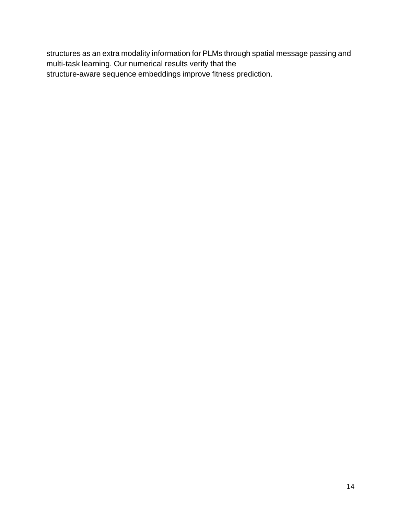structures as an extra modality information for PLMs through spatial message passing and multi-task learning. Our numerical results verify that the structure-aware sequence embeddings improve fitness prediction.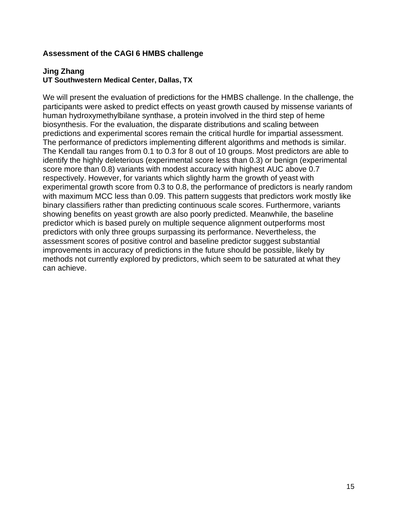#### **Assessment of the CAGI 6 HMBS challenge**

#### **Jing Zhang UT Southwestern Medical Center, Dallas, TX**

We will present the evaluation of predictions for the HMBS challenge. In the challenge, the participants were asked to predict effects on yeast growth caused by missense variants of human hydroxymethylbilane synthase, a protein involved in the third step of heme biosynthesis. For the evaluation, the disparate distributions and scaling between predictions and experimental scores remain the critical hurdle for impartial assessment. The performance of predictors implementing different algorithms and methods is similar. The Kendall tau ranges from 0.1 to 0.3 for 8 out of 10 groups. Most predictors are able to identify the highly deleterious (experimental score less than 0.3) or benign (experimental score more than 0.8) variants with modest accuracy with highest AUC above 0.7 respectively. However, for variants which slightly harm the growth of yeast with experimental growth score from 0.3 to 0.8, the performance of predictors is nearly random with maximum MCC less than 0.09. This pattern suggests that predictors work mostly like binary classifiers rather than predicting continuous scale scores. Furthermore, variants showing benefits on yeast growth are also poorly predicted. Meanwhile, the baseline predictor which is based purely on multiple sequence alignment outperforms most predictors with only three groups surpassing its performance. Nevertheless, the assessment scores of positive control and baseline predictor suggest substantial improvements in accuracy of predictions in the future should be possible, likely by methods not currently explored by predictors, which seem to be saturated at what they can achieve.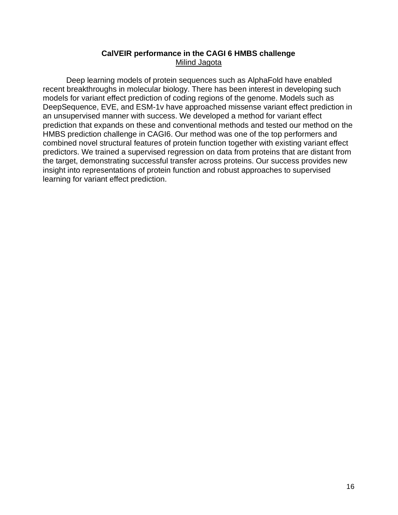#### **CalVEIR performance in the CAGI 6 HMBS challenge** Milind Jagota

Deep learning models of protein sequences such as AlphaFold have enabled recent breakthroughs in molecular biology. There has been interest in developing such models for variant effect prediction of coding regions of the genome. Models such as DeepSequence, EVE, and ESM-1v have approached missense variant effect prediction in an unsupervised manner with success. We developed a method for variant effect prediction that expands on these and conventional methods and tested our method on the HMBS prediction challenge in CAGI6. Our method was one of the top performers and combined novel structural features of protein function together with existing variant effect predictors. We trained a supervised regression on data from proteins that are distant from the target, demonstrating successful transfer across proteins. Our success provides new insight into representations of protein function and robust approaches to supervised learning for variant effect prediction.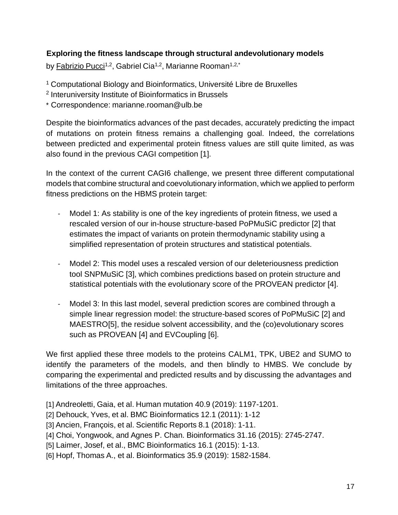#### **Exploring the fitness landscape through structural andevolutionary models**

by <u>Fabrizio Pucci</u><sup>1,2</sup>, Gabriel Cia<sup>1,2</sup>, Marianne Rooman<sup>1,2,\*</sup>

<sup>1</sup> Computational Biology and Bioinformatics, Université Libre de Bruxelles

2 Interuniversity Institute of Bioinformatics in Brussels

\* Correspondence: [marianne.rooman@ulb.be](mailto:marianne.rooman@ulb.be)

Despite the bioinformatics advances of the past decades, accurately predicting the impact of mutations on protein fitness remains a challenging goal. Indeed, the correlations between predicted and experimental protein fitness values are still quite limited, as was also found in the previous CAGI competition [1].

In the context of the current CAGI6 challenge, we present three different computational models that combine structural and coevolutionary information, which we applied to perform fitness predictions on the HBMS protein target:

- Model 1: As stability is one of the key ingredients of protein fitness, we used a rescaled version of our in-house structure-based PoPMuSiC predictor [2] that estimates the impact of variants on protein thermodynamic stability using a simplified representation of protein structures and statistical potentials.
- Model 2: This model uses a rescaled version of our deleteriousness prediction tool SNPMuSiC [3], which combines predictions based on protein structure and statistical potentials with the evolutionary score of the PROVEAN predictor [4].
- Model 3: In this last model, several prediction scores are combined through a simple linear regression model: the structure-based scores of PoPMuSiC [2] and MAESTRO[5], the residue solvent accessibility, and the (co)evolutionary scores such as PROVEAN [4] and EVCoupling [6].

We first applied these three models to the proteins CALM1, TPK, UBE2 and SUMO to identify the parameters of the models, and then blindly to HMBS. We conclude by comparing the experimental and predicted results and by discussing the advantages and limitations of the three approaches.

[1] Andreoletti, Gaia, et al. Human mutation 40.9 (2019): 1197-1201.

[2] Dehouck, Yves, et al. BMC Bioinformatics 12.1 (2011): 1-12

[3] Ancien, François, et al. Scientific Reports 8.1 (2018): 1-11.

[4] Choi, Yongwook, and Agnes P. Chan. Bioinformatics 31.16 (2015): 2745-2747.

[5] Laimer, Josef, et al., BMC Bioinformatics 16.1 (2015): 1-13.

[6] Hopf, Thomas A., et al. Bioinformatics 35.9 (2019): 1582-1584.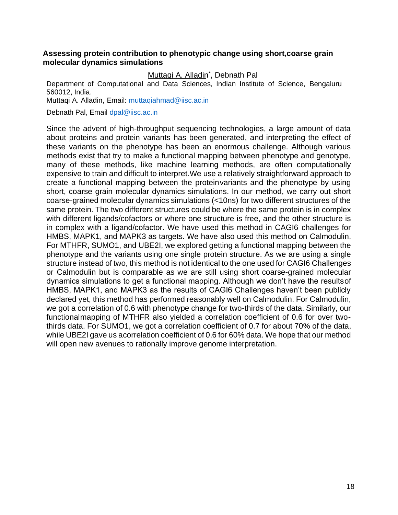#### **Assessing protein contribution to phenotypic change using short,coarse grain molecular dynamics simulations**

#### Muttaqi A. Alladin<sup>\*</sup>, Debnath Pal

Department of Computational and Data Sciences, Indian Institute of Science, Bengaluru 560012, India.

Muttaqi A. Alladin, Email: [muttaqiahmad@iisc.ac.in](mailto:muttaqiahmad@iisc.ac.in)

Debnath Pal, Email [dpal@iisc.ac.in](mailto:dpal@iisc.ac.in)

Since the advent of high-throughput sequencing technologies, a large amount of data about proteins and protein variants has been generated, and interpreting the effect of these variants on the phenotype has been an enormous challenge. Although various methods exist that try to make a functional mapping between phenotype and genotype, many of these methods, like machine learning methods, are often computationally expensive to train and difficult to interpret.We use a relatively straightforward approach to create a functional mapping between the proteinvariants and the phenotype by using short, coarse grain molecular dynamics simulations. In our method, we carry out short coarse-grained molecular dynamics simulations (<10ns) for two different structures of the same protein. The two different structures could be where the same protein is in complex with different ligands/cofactors or where one structure is free, and the other structure is in complex with a ligand/cofactor. We have used this method in CAGI6 challenges for HMBS, MAPK1, and MAPK3 as targets. We have also used this method on Calmodulin. For MTHFR, SUMO1, and UBE2I, we explored getting a functional mapping between the phenotype and the variants using one single protein structure. As we are using a single structure instead of two, this method is not identical to the one used for CAGI6 Challenges or Calmodulin but is comparable as we are still using short coarse-grained molecular dynamics simulations to get a functional mapping. Although we don't have the resultsof HMBS, MAPK1, and MAPK3 as the results of CAGI6 Challenges haven't been publicly declared yet, this method has performed reasonably well on Calmodulin. For Calmodulin, we got a correlation of 0.6 with phenotype change for two-thirds of the data. Similarly, our functionalmapping of MTHFR also yielded a correlation coefficient of 0.6 for over twothirds data. For SUMO1, we got a correlation coefficient of 0.7 for about 70% of the data, while UBE2I gave us acorrelation coefficient of 0.6 for 60% data. We hope that our method will open new avenues to rationally improve genome interpretation.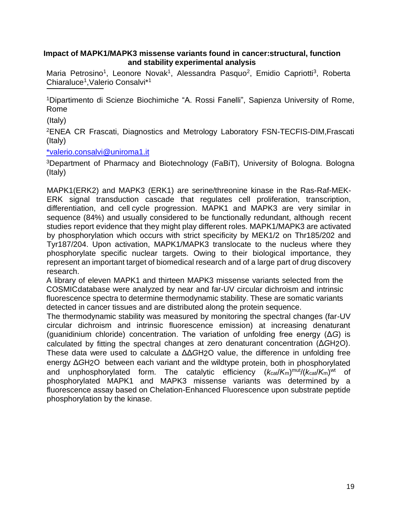#### **Impact of MAPK1/MAPK3 missense variants found in cancer:structural, function and stability experimental analysis**

Maria Petrosino<sup>1</sup>, Leonore Novak<sup>1</sup>, Alessandra Pasquo<sup>2</sup>, Emidio Capriotti<sup>3</sup>, Roberta Chiaraluce<sup>1</sup> ,Valerio Consalvi\*<sup>1</sup>

<sup>1</sup>Dipartimento di Scienze Biochimiche "A. Rossi Fanelli", Sapienza University of Rome, Rome

(Italy)

<sup>2</sup>ENEA CR Frascati, Diagnostics and Metrology Laboratory FSN-TECFIS-DIM,Frascati (Italy)

[\\*valerio.consalvi@uniroma1.it](mailto:%2Avalerio.consalvi@uniroma1.it)

<sup>3</sup>Department of Pharmacy and Biotechnology (FaBiT), University of Bologna. Bologna (Italy)

MAPK1(ERK2) and MAPK3 (ERK1) are serine/threonine kinase in the Ras-Raf-MEK-ERK signal transduction cascade that regulates cell proliferation, transcription, differentiation, and cell cycle progression. MAPK1 and MAPK3 are very similar in sequence (84%) and usually considered to be functionally redundant, although recent studies report evidence that they might play different roles. MAPK1/MAPK3 are activated by phosphorylation which occurs with strict specificity by MEK1/2 on Thr185/202 and Tyr187/204. Upon activation, MAPK1/MAPK3 translocate to the nucleus where they phosphorylate specific nuclear targets. Owing to their biological importance, they represent an important target of biomedical research and of a large part of drug discovery research.

A library of eleven MAPK1 and thirteen MAPK3 missense variants selected from the COSMICdatabase were analyzed by near and far-UV circular dichroism and intrinsic fluorescence spectra to determine thermodynamic stability. These are somatic variants detected in cancer tissues and are distributed along the protein sequence.

The thermodynamic stability was measured by monitoring the spectral changes (far-UV circular dichroism and intrinsic fluorescence emission) at increasing denaturant (guanidinium chloride) concentration. The variation of unfolding free energy (Δ*G*) is calculated by fitting the spectral changes at zero denaturant concentration (Δ*G*H2O). These data were used to calculate a ΔΔ*G*H2O value, the difference in unfolding free energy Δ*G*H2O between each variant and the wildtype protein, both in phosphorylated and unphosphorylated form. The catalytic efficiency  $(k_{\text{cat}}/K_m)^{\text{mut}}/(k_{\text{cat}}/K_m)^{\text{wt}}$  of phosphorylated MAPK1 and MAPK3 missense variants was determined by a fluorescence assay based on Chelation-Enhanced Fluorescence upon substrate peptide phosphorylation by the kinase.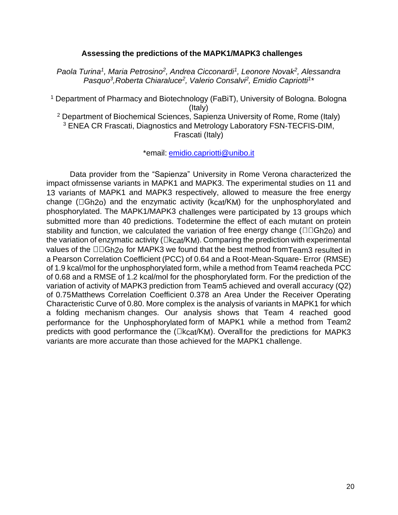#### **Assessing the predictions of the MAPK1/MAPK3 challenges**

*Paola Turina<sup>1</sup> , Maria Petrosino<sup>2</sup> , Andrea Cicconardi<sup>1</sup> , Leonore Novak<sup>2</sup> , Alessandra Pasquo<sup>3</sup>, Roberta Chiaraluce<sup>2</sup>, Valerio Consalvi<sup>2</sup>, Emidio Capriotti<sup>1</sup><sup></sup>* 

<sup>1</sup> Department of Pharmacy and Biotechnology (FaBiT), University of Bologna. Bologna (Italy) <sup>2</sup> Department of Biochemical Sciences, Sapienza University of Rome, Rome (Italy) <sup>3</sup> ENEA CR Frascati, Diagnostics and Metrology Laboratory FSN-TECFIS-DIM, Frascati (Italy)

\*email: [emidio.capriotti@unibo.it](mailto:emidio.capriotti@unibo.it)

Data provider from the "Sapienza" University in Rome Verona characterized the impact ofmissense variants in MAPK1 and MAPK3. The experimental studies on 11 and 13 variants of MAPK1 and MAPK3 respectively, allowed to measure the free energy change ( $\Box$ Gh2o) and the enzymatic activity ( $kcat/KM$ ) for the unphosphorylated and phosphorylated. The MAPK1/MAPK3 challenges were participated by 13 groups which submitted more than 40 predictions. Todetermine the effect of each mutant on protein stability and function, we calculated the variation of free energy change ( $\Box \Box G$ h<sub>20</sub>) and the variation of enzymatic activity ( $\Box$ kcat/KM). Comparing the prediction with experimental values of the  $\Box \Box G$ h2o for MAPK3 we found that the best method from Team3 resulted in a Pearson Correlation Coefficient (PCC) of 0.64 and a Root-Mean-Square- Error (RMSE) of 1.9 kcal/mol for the unphosphorylated form, while a method from Team4 reacheda PCC of 0.68 and a RMSE of 1.2 kcal/mol for the phosphorylated form. For the prediction of the variation of activity of MAPK3 prediction from Team5 achieved and overall accuracy (Q2) of 0.75Matthews Correlation Coefficient 0.378 an Area Under the Receiver Operating Characteristic Curve of 0.80. More complex is the analysis of variants in MAPK1 for which a folding mechanism changes. Our analysis shows that Team 4 reached good performance for the Unphosphorylated form of MAPK1 while a method from Team2 predicts with good performance the  $(Lkcat/KM)$ . Overallfor the predictions for MAPK3 variants are more accurate than those achieved for the MAPK1 challenge.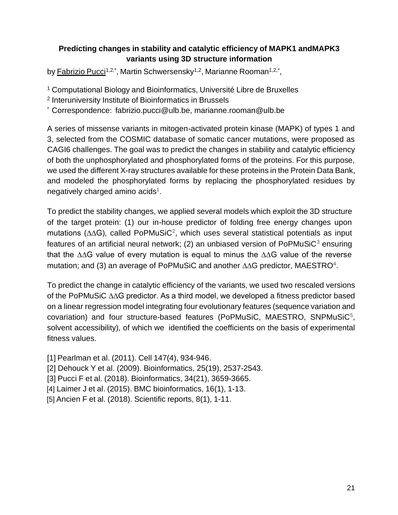#### **Predicting changes in stability and catalytic efficiency of MAPK1 andMAPK3 variants using 3D structure information**

by <u>Fabrizio Pucci1,2,\*,</u> Martin Schwersensky<sup>1,2</sup>, Marianne Rooman<sup>1,2,\*</sup>,

<sup>1</sup> Computational Biology and Bioinformatics, Université Libre de Bruxelles

2 Interuniversity Institute of Bioinformatics in Brussels

\* Correspondence: [fabrizio.pucci@ulb.be,](mailto:fabrizio.pucci@ulb.be) [marianne.rooman@ulb.be](mailto:marianne.rooman@ulb.be)

A series of missense variants in mitogen-activated protein kinase (MAPK) of types 1 and 3, selected from the COSMIC database of somatic cancer mutations, were proposed as CAGI6 challenges. The goal was to predict the changes in stability and catalytic efficiency of both the unphosphorylated and phosphorylated forms of the proteins. For this purpose, we used the different X-ray structures available for these proteins in the Protein Data Bank, and modeled the phosphorylated forms by replacing the phosphorylated residues by negatively charged amino acids<sup>1</sup>.

To predict the stability changes, we applied several models which exploit the 3D structure of the target protein: (1) our in-house predictor of folding free energy changes upon mutations (∆∆G), called PoPMuSiC<sup>2</sup>, which uses several statistical potentials as input features of an artificial neural network; (2) an unbiased version of PoPMuSiC $3$  ensuring that the ∆∆G value of every mutation is equal to minus the ∆∆G value of the reverse mutation; and (3) an average of PoPMuSiC and another  $\triangle\triangle G$  predictor, MAESTRO<sup>4</sup>.

To predict the change in catalytic efficiency of the variants, we used two rescaled versions of the PoPMuSiC ∆∆G predictor. As a third model, we developed a fitness predictor based on a linear regression model integrating four evolutionary features (sequence variation and covariation) and four structure-based features (PoPMuSiC, MAESTRO, SNPMuSiC<sup>5</sup>, solvent accessibility), of which we identified the coefficients on the basis of experimental fitness values.

[1] Pearlman et al. (2011). Cell 147(4), 934-946.

[2] Dehouck Y et al. (2009). Bioinformatics, 25(19), 2537-2543.

[3] Pucci F et al. (2018). Bioinformatics, 34(21), 3659-3665.

[4] Laimer J et al. (2015). BMC bioinformatics, 16(1), 1-13.

[5] Ancien F et al. (2018). Scientific reports, 8(1), 1-11.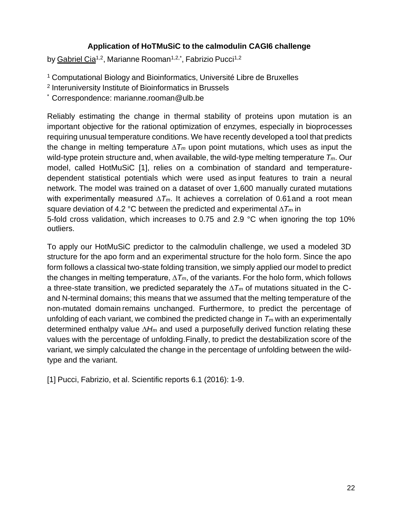#### **Application of HoTMuSiC to the calmodulin CAGI6 challenge**

by <u>Gabriel Cia</u><sup>1,2</sup>, Marianne Rooman<sup>1,2,\*</sup>, Fabrizio Pucci<sup>1,2</sup>

<sup>1</sup> Computational Biology and Bioinformatics, Université Libre de Bruxelles

2 Interuniversity Institute of Bioinformatics in Brussels

\* Correspondence: [marianne.rooman@ulb.be](mailto:marianne.rooman@ulb.be)

Reliably estimating the change in thermal stability of proteins upon mutation is an important objective for the rational optimization of enzymes, especially in bioprocesses requiring unusual temperature conditions. We have recently developed a tool that predicts the change in melting temperature ∆*T<sup>m</sup>* upon point mutations, which uses as input the wild-type protein structure and, when available, the wild-type melting temperature *Tm*. Our model, called HotMuSiC [1], relies on a combination of standard and temperaturedependent statistical potentials which were used as input features to train a neural network. The model was trained on a dataset of over 1,600 manually curated mutations with experimentally measured  $\Delta T_m$ . It achieves a correlation of 0.61 and a root mean square deviation of 4.2 °C between the predicted and experimental ∆*T<sup>m</sup>* in 5-fold cross validation, which increases to 0.75 and 2.9 °C when ignoring the top 10% outliers.

To apply our HotMuSiC predictor to the calmodulin challenge, we used a modeled 3D structure for the apo form and an experimental structure for the holo form. Since the apo form follows a classical two-state folding transition, we simply applied our model to predict the changes in melting temperature, ∆*Tm*, of the variants. For the holo form, which follows a three-state transition, we predicted separately the ∆*T<sup>m</sup>* of mutations situated in the Cand N-terminal domains; this means that we assumed that the melting temperature of the non-mutated domain remains unchanged. Furthermore, to predict the percentage of unfolding of each variant, we combined the predicted change in *T<sup>m</sup>* with an experimentally determined enthalpy value *∆H<sup>m</sup>* and used a purposefully derived function relating these values with the percentage of unfolding.Finally, to predict the destabilization score of the variant, we simply calculated the change in the percentage of unfolding between the wildtype and the variant.

[1] Pucci, Fabrizio, et al. Scientific reports 6.1 (2016): 1-9.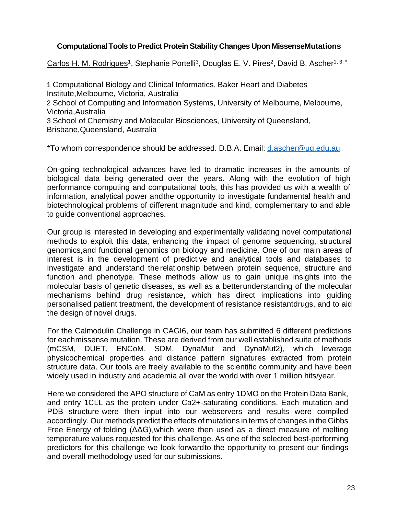#### **Computational Tools to Predict Protein Stability Changes Upon MissenseMutations**

Carlos H. M. Rodrigues<sup>1</sup>, Stephanie Portelli<sup>3</sup>, Douglas E. V. Pires<sup>2</sup>, David B. Ascher<sup>1, 3, \*</sup>

1 Computational Biology and Clinical Informatics, Baker Heart and Diabetes Institute,Melbourne, Victoria, Australia 2 School of Computing and Information Systems, University of Melbourne, Melbourne, Victoria,Australia 3 School of Chemistry and Molecular Biosciences, University of Queensland, Brisbane,Queensland, Australia

\*To whom correspondence should be addressed. D.B.A. Email: [d.ascher@uq.edu.au](mailto:d.ascher@uq.edu.au)

On-going technological advances have led to dramatic increases in the amounts of biological data being generated over the years. Along with the evolution of high performance computing and computational tools, this has provided us with a wealth of information, analytical power andthe opportunity to investigate fundamental health and biotechnological problems of different magnitude and kind, complementary to and able to guide conventional approaches.

Our group is interested in developing and experimentally validating novel computational methods to exploit this data, enhancing the impact of genome sequencing, structural genomics,and functional genomics on biology and medicine. One of our main areas of interest is in the development of predictive and analytical tools and databases to investigate and understand the relationship between protein sequence, structure and function and phenotype. These methods allow us to gain unique insights into the molecular basis of genetic diseases, as well as a betterunderstanding of the molecular mechanisms behind drug resistance, which has direct implications into guiding personalised patient treatment, the development of resistance resistantdrugs, and to aid the design of novel drugs.

For the Calmodulin Challenge in CAGI6, our team has submitted 6 different predictions for eachmissense mutation. These are derived from our well established suite of methods (mCSM, DUET, ENCoM, SDM, DynaMut and DynaMut2), which leverage physicochemical properties and distance pattern signatures extracted from protein structure data. Our tools are freely available to the scientific community and have been widely used in industry and academia all over the world with over 1 million hits/year.

Here we considered the APO structure of CaM as entry 1DMO on the Protein Data Bank, and entry 1CLL as the protein under Ca2+-saturating conditions. Each mutation and PDB structure were then input into our webservers and results were compiled accordingly. Our methods predict the effects of mutations in terms of changes in theGibbs Free Energy of folding (ΔΔG),which were then used as a direct measure of melting temperature values requested for this challenge. As one of the selected best-performing predictors for this challenge we look forwardto the opportunity to present our findings and overall methodology used for our submissions.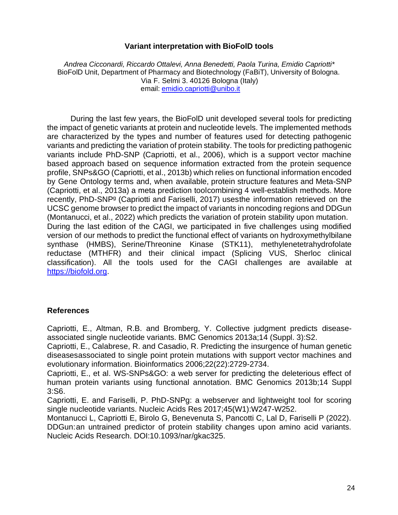#### **Variant interpretation with BioFolD tools**

*Andrea Cicconardi, Riccardo Ottalevi, Anna Benedetti, Paola Turina, Emidio Capriotti\** BioFolD Unit, Department of Pharmacy and Biotechnology (FaBiT), University of Bologna. Via F. Selmi 3. 40126 Bologna (Italy) email: [emidio.capriotti@unibo.it](mailto:emidio.capriotti@unibo.it)

During the last few years, the BioFolD unit developed several tools for predicting the impact of genetic variants at protein and nucleotide levels. The implemented methods are characterized by the types and number of features used for detecting pathogenic variants and predicting the variation of protein stability. The tools for predicting pathogenic variants include PhD-SNP (Capriotti, et al., 2006), which is a support vector machine based approach based on sequence information extracted from the protein sequence profile, SNPs&GO (Capriotti, et al., 2013b) which relies on functional information encoded by Gene Ontology terms and, when available, protein structure features and Meta-SNP (Capriotti, et al., 2013a) a meta prediction toolcombining 4 well-establish methods. More recently, PhD-SNP<sup>g</sup> (Capriotti and Fariselli, 2017) usesthe information retrieved on the UCSC genome browser to predict the impact of variants in noncoding regions and DDGun (Montanucci, et al., 2022) which predicts the variation of protein stability upon mutation. During the last edition of the CAGI, we participated in five challenges using modified version of our methods to predict the functional effect of variants on hydroxymethylbilane synthase (HMBS), Serine/Threonine Kinase (STK11), methylenetetrahydrofolate reductase (MTHFR) and their clinical impact (Splicing VUS, Sherloc clinical classification). All the tools used for the CAGI challenges are available at https://biofold.org.

#### **References**

Capriotti, E., Altman, R.B. and Bromberg, Y. Collective judgment predicts diseaseassociated single nucleotide variants. BMC Genomics 2013a;14 (Suppl. 3):S2.

Capriotti, E., Calabrese, R. and Casadio, R. Predicting the insurgence of human genetic diseasesassociated to single point protein mutations with support vector machines and evolutionary information. Bioinformatics 2006;22(22):2729-2734.

Capriotti, E., et al. WS-SNPs&GO: a web server for predicting the deleterious effect of human protein variants using functional annotation. BMC Genomics 2013b;14 Suppl 3:S6.

Capriotti, E. and Fariselli, P. PhD-SNPg: a webserver and lightweight tool for scoring single nucleotide variants. Nucleic Acids Res 2017;45(W1):W247-W252.

Montanucci L, Capriotti E, Birolo G, Benevenuta S, Pancotti C, Lal D, Fariselli P (2022). DDGun:an untrained predictor of protein stability changes upon amino acid variants. Nucleic Acids Research. DOI:10.1093/nar/gkac325.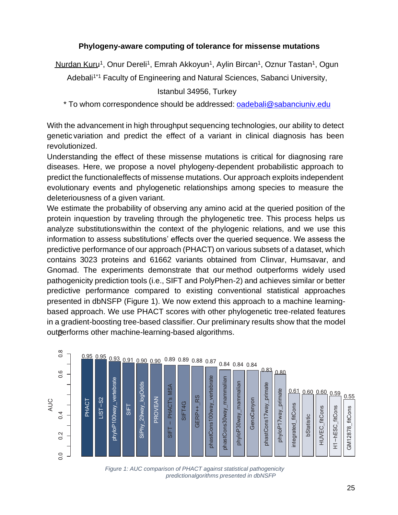#### **Phylogeny-aware computing of tolerance for missense mutations**

Nurdan Kuru<sup>1</sup>, Onur Dereli<sup>1</sup>, Emrah Akkoyun<sup>1</sup>, Aylin Bircan<sup>1</sup>, Oznur Tastan<sup>1</sup>, Ogun

Adebali<sup>1\*1</sup> Faculty of Engineering and Natural Sciences, Sabanci University,

Istanbul 34956, Turkey

\* To whom correspondence should be addressed: [oadebali@sabanciuniv.edu](mailto:oadebali@sabanciuniv.edu)

With the advancement in high throughput sequencing technologies, our ability to detect genetic variation and predict the effect of a variant in clinical diagnosis has been revolutionized.

Understanding the effect of these missense mutations is critical for diagnosing rare diseases. Here, we propose a novel phylogeny-dependent probabilistic approach to predict the functionaleffects of missense mutations. Our approach exploits independent evolutionary events and phylogenetic relationships among species to measure the deleteriousness of a given variant.

We estimate the probability of observing any amino acid at the queried position of the protein inquestion by traveling through the phylogenetic tree. This process helps us analyze substitutionswithin the context of the phylogenic relations, and we use this information to assess substitutions' effects over the queried sequence. We assess the predictive performance of our approach (PHACT) on various subsets of a dataset, which contains 3023 proteins and 61662 variants obtained from Clinvar, Humsavar, and Gnomad. The experiments demonstrate that our method outperforms widely used pathogenicity prediction tools (i.e., SIFT and PolyPhen-2) and achieves similar or better predictive performance compared to existing conventional statistical approaches presented in dbNSFP (Figure 1). We now extend this approach to a machine learningbased approach. We use PHACT scores with other phylogenetic tree-related features in a gradient-boosting tree-based classifier. Our preliminary results show that the model outperforms other machine-learning-based algorithms.



*Figure 1: AUC comparison of PHACT against statistical pathogenicity predictionalgorithms presented in dbNSFP*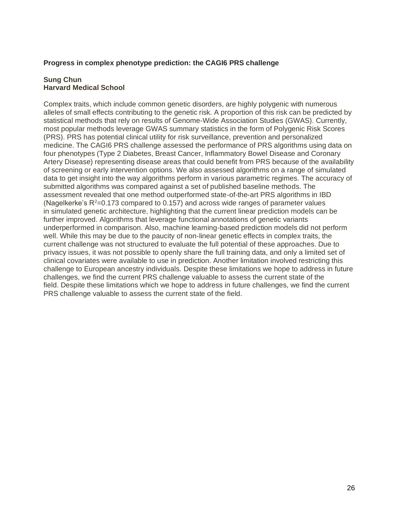#### **Progress in complex phenotype prediction: the CAGI6 PRS challenge**

#### **Sung Chun Harvard Medical School**

Complex traits, which include common genetic disorders, are highly polygenic with numerous alleles of small effects contributing to the genetic risk. A proportion of this risk can be predicted by statistical methods that rely on results of Genome-Wide Association Studies (GWAS). Currently, most popular methods leverage GWAS summary statistics in the form of Polygenic Risk Scores (PRS). PRS has potential clinical utility for risk surveillance, prevention and personalized medicine. The CAGI6 PRS challenge assessed the performance of PRS algorithms using data on four phenotypes (Type 2 Diabetes, Breast Cancer, Inflammatory Bowel Disease and Coronary Artery Disease) representing disease areas that could benefit from PRS because of the availability of screening or early intervention options. We also assessed algorithms on a range of simulated data to get insight into the way algorithms perform in various parametric regimes. The accuracy of submitted algorithms was compared against a set of published baseline methods. The assessment revealed that one method outperformed state-of-the-art PRS algorithms in IBD (Nagelkerke's  $R^2$ =0.173 compared to 0.157) and across wide ranges of parameter values in simulated genetic architecture, highlighting that the current linear prediction models can be further improved. Algorithms that leverage functional annotations of genetic variants underperformed in comparison. Also, machine learning-based prediction models did not perform well. While this may be due to the paucity of non-linear genetic effects in complex traits, the current challenge was not structured to evaluate the full potential of these approaches. Due to privacy issues, it was not possible to openly share the full training data, and only a limited set of clinical covariates were available to use in prediction. Another limitation involved restricting this challenge to European ancestry individuals. Despite these limitations we hope to address in future challenges, we find the current PRS challenge valuable to assess the current state of the field. Despite these limitations which we hope to address in future challenges, we find the current PRS challenge valuable to assess the current state of the field.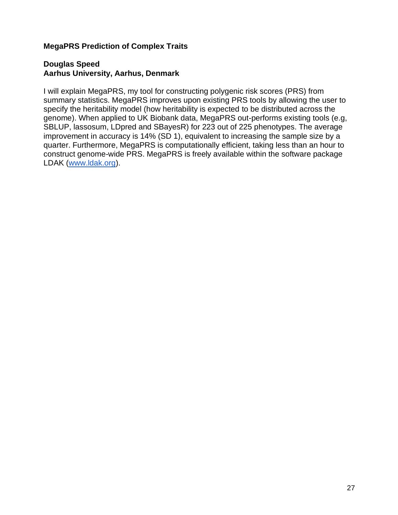#### **MegaPRS Prediction of Complex Traits**

#### **Douglas Speed Aarhus University, Aarhus, Denmark**

I will explain MegaPRS, my tool for constructing polygenic risk scores (PRS) from summary statistics. MegaPRS improves upon existing PRS tools by allowing the user to specify the heritability model (how heritability is expected to be distributed across the genome). When applied to UK Biobank data, MegaPRS out-performs existing tools (e.g, SBLUP, lassosum, LDpred and SBayesR) for 223 out of 225 phenotypes. The average improvement in accuracy is 14% (SD 1), equivalent to increasing the sample size by a quarter. Furthermore, MegaPRS is computationally efficient, taking less than an hour to construct genome-wide PRS. MegaPRS is freely available within the software package LDAK [\(www.ldak.org\)](http://www.ldak.org/).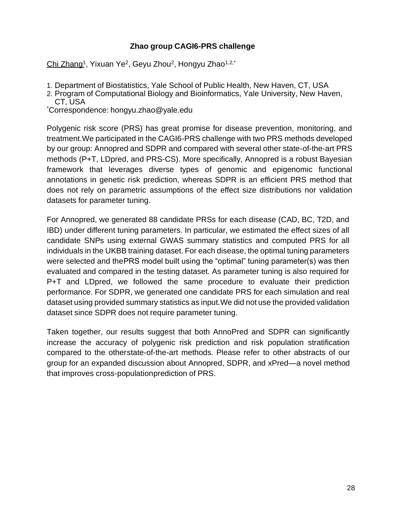#### **Zhao group CAGI6-PRS challenge**

<u>Chi Zhang<sup>1</sup>,</u> Yixuan Ye<sup>2</sup>, Geyu Zhou<sup>2</sup>, Hongyu Zhao<sup>1,2,\*</sup>

- 1. Department of Biostatistics, Yale School of Public Health, New Haven, CT, USA
- 2. Program of Computational Biology and Bioinformatics, Yale University, New Haven,
- CT, USA

\*Correspondence: [hongyu.zhao@yale.edu](mailto:hongyu.zhao@yale.edu)

Polygenic risk score (PRS) has great promise for disease prevention, monitoring, and treatment.We participated in the CAGI6-PRS challenge with two PRS methods developed by our group: Annopred and SDPR and compared with several other state-of-the-art PRS methods (P+T, LDpred, and PRS-CS). More specifically, Annopred is a robust Bayesian framework that leverages diverse types of genomic and epigenomic functional annotations in genetic risk prediction, whereas SDPR is an efficient PRS method that does not rely on parametric assumptions of the effect size distributions nor validation datasets for parameter tuning.

For Annopred, we generated 88 candidate PRSs for each disease (CAD, BC, T2D, and IBD) under different tuning parameters. In particular, we estimated the effect sizes of all candidate SNPs using external GWAS summary statistics and computed PRS for all individuals in the UKBB training dataset. For each disease, the optimal tuning parameters were selected and thePRS model built using the "optimal" tuning parameter(s) was then evaluated and compared in the testing dataset. As parameter tuning is also required for P+T and LDpred, we followed the same procedure to evaluate their prediction performance. For SDPR, we generated one candidate PRS for each simulation and real dataset using provided summary statistics as input.We did not use the provided validation dataset since SDPR does not require parameter tuning.

Taken together, our results suggest that both AnnoPred and SDPR can significantly increase the accuracy of polygenic risk prediction and risk population stratification compared to the otherstate-of-the-art methods. Please refer to other abstracts of our group for an expanded discussion about Annopred, SDPR, and xPred—a novel method that improves cross-populationprediction of PRS.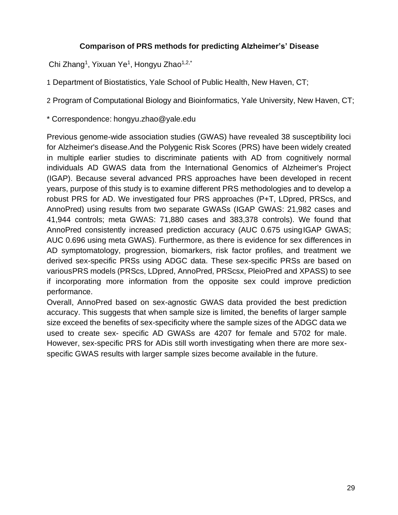#### **Comparison of PRS methods for predicting Alzheimer's' Disease**

Chi Zhang<sup>1</sup>, Yixuan Ye<sup>1</sup>, Hongyu Zhao<sup>1,2,\*</sup>

1 Department of Biostatistics, Yale School of Public Health, New Haven, CT;

2 Program of Computational Biology and Bioinformatics, Yale University, New Haven, CT;

\* Correspondence: [hongyu.zhao@yale.edu](mailto:hongyu.zhao@yale.edu)

Previous genome-wide association studies (GWAS) have revealed 38 susceptibility loci for Alzheimer's disease.And the Polygenic Risk Scores (PRS) have been widely created in multiple earlier studies to discriminate patients with AD from cognitively normal individuals AD GWAS data from the International Genomics of Alzheimer's Project (IGAP). Because several advanced PRS approaches have been developed in recent years, purpose of this study is to examine different PRS methodologies and to develop a robust PRS for AD. We investigated four PRS approaches (P+T, LDpred, PRScs, and AnnoPred) using results from two separate GWASs (IGAP GWAS: 21,982 cases and 41,944 controls; meta GWAS: 71,880 cases and 383,378 controls). We found that AnnoPred consistently increased prediction accuracy (AUC 0.675 using IGAP GWAS; AUC 0.696 using meta GWAS). Furthermore, as there is evidence for sex differences in AD symptomatology, progression, biomarkers, risk factor profiles, and treatment we derived sex-specific PRSs using ADGC data. These sex-specific PRSs are based on variousPRS models (PRScs, LDpred, AnnoPred, PRScsx, PleioPred and XPASS) to see if incorporating more information from the opposite sex could improve prediction performance.

Overall, AnnoPred based on sex-agnostic GWAS data provided the best prediction accuracy. This suggests that when sample size is limited, the benefits of larger sample size exceed the benefits of sex-specificity where the sample sizes of the ADGC data we used to create sex- specific AD GWASs are 4207 for female and 5702 for male. However, sex-specific PRS for ADis still worth investigating when there are more sexspecific GWAS results with larger sample sizes become available in the future.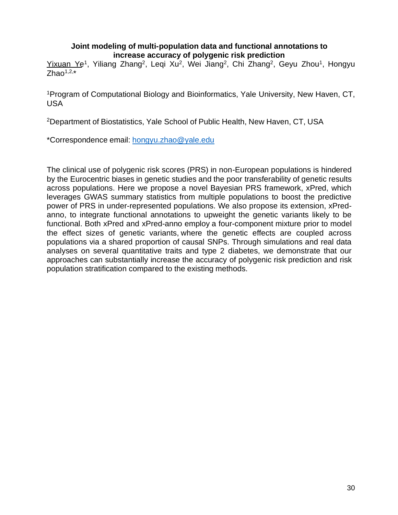#### **Joint modeling of multi-population data and functional annotations to increase accuracy of polygenic risk prediction**

Yixuan Ye<sup>1</sup>, Yiliang Zhang<sup>2</sup>, Leqi Xu<sup>2</sup>, Wei Jiang<sup>2</sup>, Chi Zhang<sup>2</sup>, Geyu Zhou<sup>1</sup>, Hongyu  $Z$ hao $1,2,*$ 

<sup>1</sup>Program of Computational Biology and Bioinformatics, Yale University, New Haven, CT, USA

<sup>2</sup>Department of Biostatistics, Yale School of Public Health, New Haven, CT, USA

\*Correspondence email: [hongyu.zhao@yale.edu](mailto:hongyu.zhao@yale.edu)

The clinical use of polygenic risk scores (PRS) in non-European populations is hindered by the Eurocentric biases in genetic studies and the poor transferability of genetic results across populations. Here we propose a novel Bayesian PRS framework, xPred, which leverages GWAS summary statistics from multiple populations to boost the predictive power of PRS in under-represented populations. We also propose its extension, xPredanno, to integrate functional annotations to upweight the genetic variants likely to be functional. Both xPred and xPred-anno employ a four-component mixture prior to model the effect sizes of genetic variants, where the genetic effects are coupled across populations via a shared proportion of causal SNPs. Through simulations and real data analyses on several quantitative traits and type 2 diabetes, we demonstrate that our approaches can substantially increase the accuracy of polygenic risk prediction and risk population stratification compared to the existing methods.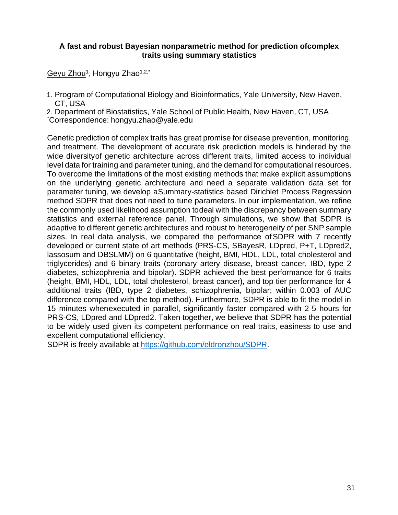#### **A fast and robust Bayesian nonparametric method for prediction ofcomplex traits using summary statistics**

<u>Geyu Zhou</u><sup>1</sup>, Hongyu Zhao<sup>1,2,\*</sup>

- 1. Program of Computational Biology and Bioinformatics, Yale University, New Haven, CT, USA
- 2. Department of Biostatistics, Yale School of Public Health, New Haven, CT, USA

\*Correspondence: [hongyu.zhao@yale.edu](mailto:hongyu.zhao@yale.edu)

Genetic prediction of complex traits has great promise for disease prevention, monitoring, and treatment. The development of accurate risk prediction models is hindered by the wide diversityof genetic architecture across different traits, limited access to individual level data for training and parameter tuning, and the demand for computational resources. To overcome the limitations of the most existing methods that make explicit assumptions on the underlying genetic architecture and need a separate validation data set for parameter tuning, we develop aSummary-statistics based Dirichlet Process Regression method SDPR that does not need to tune parameters. In our implementation, we refine the commonly used likelihood assumption todeal with the discrepancy between summary statistics and external reference panel. Through simulations, we show that SDPR is adaptive to different genetic architectures and robust to heterogeneity of per SNP sample sizes. In real data analysis, we compared the performance ofSDPR with 7 recently developed or current state of art methods (PRS-CS, SBayesR, LDpred, P+T, LDpred2, lassosum and DBSLMM) on 6 quantitative (height, BMI, HDL, LDL, total cholesterol and triglycerides) and 6 binary traits (coronary artery disease, breast cancer, IBD, type 2 diabetes, schizophrenia and bipolar). SDPR achieved the best performance for 6 traits (height, BMI, HDL, LDL, total cholesterol, breast cancer), and top tier performance for 4 additional traits (IBD, type 2 diabetes, schizophrenia, bipolar; within 0.003 of AUC difference compared with the top method). Furthermore, SDPR is able to fit the model in 15 minutes whenexecuted in parallel, significantly faster compared with 2-5 hours for PRS-CS, LDpred and LDpred2. Taken together, we believe that SDPR has the potential to be widely used given its competent performance on real traits, easiness to use and excellent computational efficiency.

SDPR is freely available at [https://github.com/eldronzhou/SDPR.](https://github.com/eldronzhou/SDPR)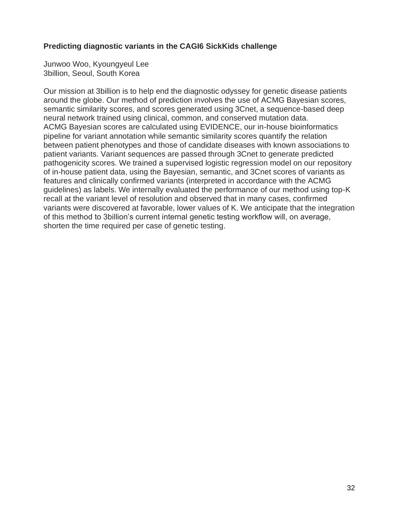#### **Predicting diagnostic variants in the CAGI6 SickKids challenge**

Junwoo Woo, Kyoungyeul Lee 3billion, Seoul, South Korea

Our mission at 3billion is to help end the diagnostic odyssey for genetic disease patients around the globe. Our method of prediction involves the use of ACMG Bayesian scores, semantic similarity scores, and scores generated using 3Cnet, a sequence-based deep neural network trained using clinical, common, and conserved mutation data. ACMG Bayesian scores are calculated using EVIDENCE, our in-house bioinformatics pipeline for variant annotation while semantic similarity scores quantify the relation between patient phenotypes and those of candidate diseases with known associations to patient variants. Variant sequences are passed through 3Cnet to generate predicted pathogenicity scores. We trained a supervised logistic regression model on our repository of in-house patient data, using the Bayesian, semantic, and 3Cnet scores of variants as features and clinically confirmed variants (interpreted in accordance with the ACMG guidelines) as labels. We internally evaluated the performance of our method using top-K recall at the variant level of resolution and observed that in many cases, confirmed variants were discovered at favorable, lower values of K. We anticipate that the integration of this method to 3billion's current internal genetic testing workflow will, on average, shorten the time required per case of genetic testing.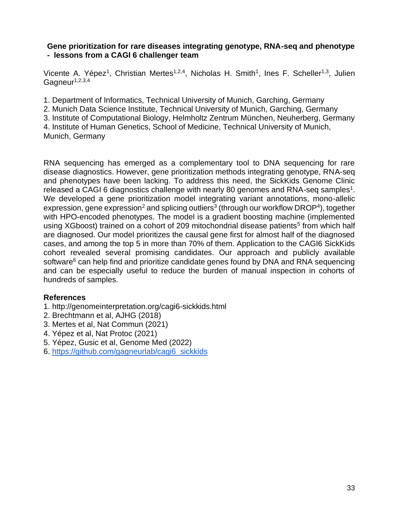#### **Gene prioritization for rare diseases integrating genotype, RNA-seq and phenotype - lessons from a CAGI 6 challenger team**

Vicente A. Yépez<sup>1</sup>, Christian Mertes<sup>1,2,4</sup>, Nicholas H. Smith<sup>1</sup>, Ines F. Scheller<sup>1,3</sup>, Julien Gagneur $1,2,3,4$ 

1. Department of Informatics, Technical University of Munich, Garching, Germany

2. Munich Data Science Institute, Technical University of Munich, Garching, Germany

3. Institute of Computational Biology, Helmholtz Zentrum München, Neuherberg, Germany

4. Institute of Human Genetics, School of Medicine, Technical University of Munich, Munich, Germany

RNA sequencing has emerged as a complementary tool to DNA sequencing for rare disease diagnostics. However, gene prioritization methods integrating genotype, RNA-seq and phenotypes have been lacking. To address this need, the SickKids Genome Clinic released a CAGI 6 diagnostics challenge with nearly 80 genomes and RNA-seq samples<sup>1</sup>. We developed a gene prioritization model integrating variant annotations, mono-allelic expression, gene expression<sup>2</sup> and splicing outliers<sup>3</sup> (through our workflow DROP<sup>4</sup>), together with HPO-encoded phenotypes. The model is a gradient boosting machine (implemented using XGboost) trained on a cohort of 209 mitochondrial disease patients<sup>5</sup> from which half are diagnosed. Our model prioritizes the causal gene first for almost half of the diagnosed cases, and among the top 5 in more than 70% of them. Application to the CAGI6 SickKids cohort revealed several promising candidates. Our approach and publicly available software<sup>6</sup> can help find and prioritize candidate genes found by DNA and RNA sequencing and can be especially useful to reduce the burden of manual inspection in cohorts of hundreds of samples.

#### **References**

- 1. http://genomeinterpretation.org/cagi6-sickkids.html
- 2. Brechtmann et al, AJHG (2018)
- 3. Mertes et al, Nat Commun (2021)
- 4. Yépez et al, Nat Protoc (2021)
- 5. Yépez, Gusic et al, Genome Med (2022)
- 6. [https://github.com/gagneurlab/cagi6\\_sickkids](https://github.com/gagneurlab/cagi6_sickkids)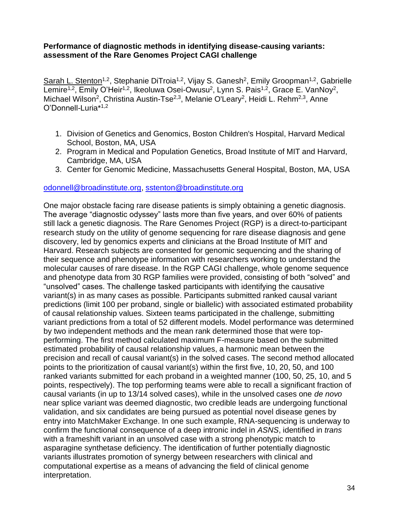#### **Performance of diagnostic methods in identifying disease-causing variants: assessment of the Rare Genomes Project CAGI challenge**

Sarah L. Stenton<sup>1,2</sup>, Stephanie DiTroia<sup>1,2</sup>, Vijay S. Ganesh<sup>2</sup>, Emily Groopman<sup>1,2</sup>, Gabrielle Lemire<sup>1,2</sup>, Emily O'Heir<sup>1,2</sup>, Ikeoluwa Osei-Owusu<sup>2</sup>, Lynn S. Pais<sup>1,2</sup>, Grace E. VanNoy<sup>2</sup>, Michael Wilson<sup>2</sup>, Christina Austin-Tse<sup>2,3</sup>, Melanie O'Leary<sup>2</sup>, Heidi L. Rehm<sup>2,3</sup>, Anne O'Donnell-Luria\*1,2

- 1. Division of Genetics and Genomics, Boston Children's Hospital, Harvard Medical School, Boston, MA, USA
- 2. Program in Medical and Population Genetics, Broad Institute of MIT and Harvard, Cambridge, MA, USA
- 3. Center for Genomic Medicine, Massachusetts General Hospital, Boston, MA, USA

#### [odonnell@broadinstitute.org,](mailto:odonnell@broadinstitute.org) [sstenton@broadinstitute.org](mailto:sstenton@broadinstitute.org)

One major obstacle facing rare disease patients is simply obtaining a genetic diagnosis. The average "diagnostic odyssey" lasts more than five years, and over 60% of patients still lack a genetic diagnosis. The Rare Genomes Project (RGP) is a direct-to-participant research study on the utility of genome sequencing for rare disease diagnosis and gene discovery, led by genomics experts and clinicians at the Broad Institute of MIT and Harvard. Research subjects are consented for genomic sequencing and the sharing of their sequence and phenotype information with researchers working to understand the molecular causes of rare disease. In the RGP CAGI challenge, whole genome sequence and phenotype data from 30 RGP families were provided, consisting of both "solved" and "unsolved" cases. The challenge tasked participants with identifying the causative variant(s) in as many cases as possible. Participants submitted ranked causal variant predictions (limit 100 per proband, single or biallelic) with associated estimated probability of causal relationship values. Sixteen teams participated in the challenge, submitting variant predictions from a total of 52 different models. Model performance was determined by two independent methods and the mean rank determined those that were topperforming. The first method calculated maximum F-measure based on the submitted estimated probability of causal relationship values, a harmonic mean between the precision and recall of causal variant(s) in the solved cases. The second method allocated points to the prioritization of causal variant(s) within the first five, 10, 20, 50, and 100 ranked variants submitted for each proband in a weighted manner (100, 50, 25, 10, and 5 points, respectively). The top performing teams were able to recall a significant fraction of causal variants (in up to 13/14 solved cases), while in the unsolved cases one *de novo* near splice variant was deemed diagnostic, two credible leads are undergoing functional validation, and six candidates are being pursued as potential novel disease genes by entry into MatchMaker Exchange. In one such example, RNA-sequencing is underway to confirm the functional consequence of a deep intronic indel in *ASNS*, identified in *trans* with a frameshift variant in an unsolved case with a strong phenotypic match to asparagine synthetase deficiency. The identification of further potentially diagnostic variants illustrates promotion of synergy between researchers with clinical and computational expertise as a means of advancing the field of clinical genome interpretation.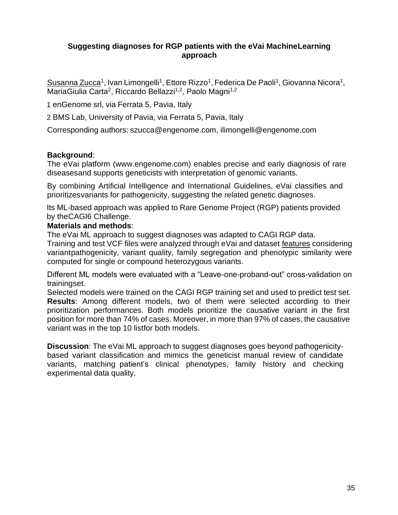#### **Suggesting diagnoses for RGP patients with the eVai MachineLearning approach**

Susanna Zucca<sup>1</sup>, Ivan Limongelli<sup>1</sup>, Ettore Rizzo<sup>1</sup>, Federica De Paoli<sup>1</sup>, Giovanna Nicora<sup>1</sup>, MariaGiulia Carta<sup>2</sup>, Riccardo Bellazzi<sup>1,2</sup>, Paolo Magni<sup>1,2</sup>

1 enGenome srl, via Ferrata 5, Pavia, Italy

2 BMS Lab, University of Pavia, via Ferrata 5, Pavia, Italy

Corresponding authors: [szucca@engenome.com,](mailto:szucca@engenome.com) [ilimongelli@engenome.com](mailto:ilimongelli@engenome.com)

#### **Background**:

The eVai platform (www.engenome.com) enables precise and early diagnosis of rare diseasesand supports geneticists with interpretation of genomic variants.

By combining Artificial Intelligence and International Guidelines, eVai classifies and prioritizesvariants for pathogenicity, suggesting the related genetic diagnoses.

Its ML-based approach was applied to Rare Genome Project (RGP) patients provided by theCAGI6 Challenge.

#### **Materials and methods**:

The eVai ML approach to suggest diagnoses was adapted to CAGI RGP data. Training and test VCF files were analyzed through eVai and dataset features considering

variantpathogenicity, variant quality, family segregation and phenotypic similarity were computed for single or compound heterozygous variants.

Different ML models were evaluated with a "Leave-one-proband-out" cross-validation on trainingset.

Selected models were trained on the CAGI RGP training set and used to predict test set. **Results**: Among different models, two of them were selected according to their prioritization performances. Both models prioritize the causative variant in the first position for more than 74% of cases. Moreover, in more than 97% of cases, the causative variant was in the top 10 listfor both models.

**Discussion**: The eVai ML approach to suggest diagnoses goes beyond pathogenicitybased variant classification and mimics the geneticist manual review of candidate variants, matching patient's clinical phenotypes, family history and checking experimental data quality.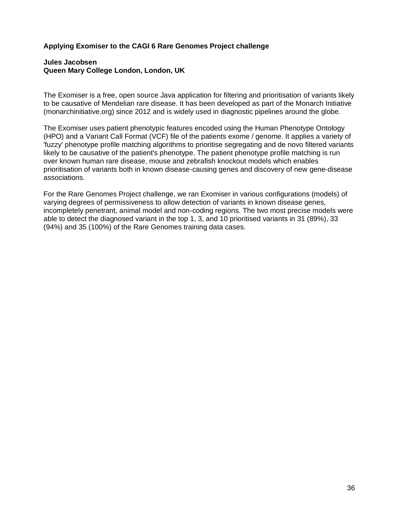#### **Applying Exomiser to the CAGI 6 Rare Genomes Project challenge**

#### **Jules Jacobsen Queen Mary College London, London, UK**

The Exomiser is a free, open source Java application for filtering and prioritisation of variants likely to be causative of Mendelian rare disease. It has been developed as part of the Monarch Initiative (monarchinitiative.org) since 2012 and is widely used in diagnostic pipelines around the globe.

The Exomiser uses patient phenotypic features encoded using the Human Phenotype Ontology (HPO) and a Variant Call Format (VCF) file of the patients exome / genome. It applies a variety of 'fuzzy' phenotype profile matching algorithms to prioritise segregating and de novo filtered variants likely to be causative of the patient's phenotype. The patient phenotype profile matching is run over known human rare disease, mouse and zebrafish knockout models which enables prioritisation of variants both in known disease-causing genes and discovery of new gene-disease associations.

For the Rare Genomes Project challenge, we ran Exomiser in various configurations (models) of varying degrees of permissiveness to allow detection of variants in known disease genes, incompletely penetrant, animal model and non-coding regions. The two most precise models were able to detect the diagnosed variant in the top 1, 3, and 10 prioritised variants in 31 (89%), 33 (94%) and 35 (100%) of the Rare Genomes training data cases.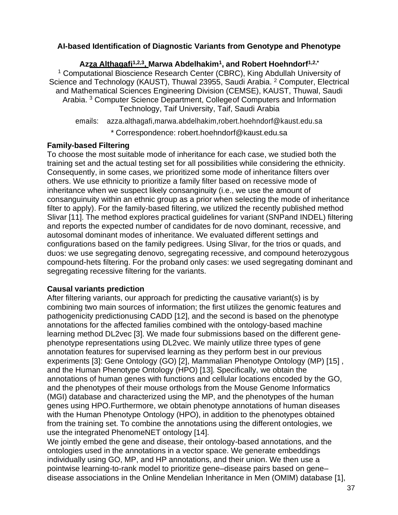#### **AI-based Identification of Diagnostic Variants from Genotype and Phenotype**

**Azza Althagafi1,2,3 , Marwa Abdelhakim<sup>1</sup> , and Robert Hoehndorf1,2,\*** <sup>1</sup> Computational Bioscience Research Center (CBRC), King Abdullah University of Science and Technology (KAUST), Thuwal 23955, Saudi Arabia. <sup>2</sup> Computer, Electrical and Mathematical Sciences Engineering Division (CEMSE), KAUST, Thuwal, Saudi Arabia.<sup>3</sup> Computer Science Department, College of Computers and Information Technology, Taif University, Taif, Saudi Arabia

emails: [azza.althagafi,marwa.abdelhakim,robert.hoehndorf@kaust.edu.sa](mailto:azza.althagafi%2Cmarwa.abdelhakim%2Crobert.hoehndorf@kaust.edu.sa)

\* Correspondence: [robert.hoehndorf@kaust.edu.sa](mailto:robert.hoehndorf@kaust.edu.sa)

#### **Family-based Filtering**

To choose the most suitable mode of inheritance for each case, we studied both the training set and the actual testing set for all possibilities while considering the ethnicity. Consequently, in some cases, we prioritized some mode of inheritance filters over others. We use ethnicity to prioritize a family filter based on recessive mode of inheritance when we suspect likely consanginuity (i.e., we use the amount of consanguinuity within an ethnic group as a prior when selecting the mode of inheritance filter to apply). For the family-based filtering, we utilized the recently published method Slivar [11]. The method explores practical guidelines for variant (SNPand INDEL) filtering and reports the expected number of candidates for de novo dominant, recessive, and autosomal dominant modes of inheritance. We evaluated different settings and configurations based on the family pedigrees. Using Slivar, for the trios or quads, and duos: we use segregating denovo, segregating recessive, and compound heterozygous compound-hets filtering. For the proband only cases: we used segregating dominant and segregating recessive filtering for the variants.

#### **Causal variants prediction**

After filtering variants, our approach for predicting the causative variant(s) is by combining two main sources of information; the first utilizes the genomic features and pathogenicity predictionusing CADD [12], and the second is based on the phenotype annotations for the affected families combined with the ontology-based machine learning method DL2vec [3]. We made four submissions based on the different genephenotype representations using DL2vec. We mainly utilize three types of gene annotation features for supervised learning as they perform best in our previous experiments [3]: Gene Ontology (GO) [2], Mammalian Phenotype Ontology (MP) [15] , and the Human Phenotype Ontology (HPO) [13]. Specifically, we obtain the annotations of human genes with functions and cellular locations encoded by the GO, and the phenotypes of their mouse orthologs from the Mouse Genome Informatics (MGI) database and characterized using the MP, and the phenotypes of the human genes using HPO.Furthermore, we obtain phenotype annotations of human diseases with the Human Phenotype Ontology (HPO), in addition to the phenotypes obtained from the training set. To combine the annotations using the different ontologies, we use the integrated PhenomeNET ontology [14].

We jointly embed the gene and disease, their ontology-based annotations, and the ontologies used in the annotations in a vector space. We generate embeddings individually using GO, MP, and HP annotations, and their union. We then use a pointwise learning-to-rank model to prioritize gene–disease pairs based on gene– disease associations in the Online Mendelian Inheritance in Men (OMIM) database [1],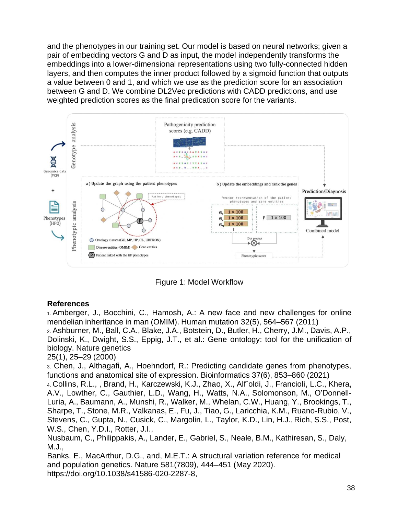and the phenotypes in our training set. Our model is based on neural networks; given a pair of embedding vectors G and D as input, the model independently transforms the embeddings into a lower-dimensional representations using two fully-connected hidden layers, and then computes the inner product followed by a sigmoid function that outputs a value between 0 and 1, and which we use as the prediction score for an association between G and D. We combine DL2Vec predictions with CADD predictions, and use weighted prediction scores as the final predication score for the variants.



Figure 1: Model Workflow

#### **References**

1. Amberger, J., Bocchini, C., Hamosh, A.: A new face and new challenges for online mendelian inheritance in man (OMIM). Human mutation 32(5), 564–567 (2011) 2. Ashburner, M., Ball, C.A., Blake, J.A., Botstein, D., Butler, H., Cherry, J.M., Davis, A.P., Dolinski, K., Dwight, S.S., Eppig, J.T., et al.: Gene ontology: tool for the unification of biology. Nature genetics

#### 25(1), 25–29 (2000)

3. Chen, J., Althagafi, A., Hoehndorf, R.: Predicting candidate genes from phenotypes, functions and anatomical site of expression. Bioinformatics 37(6), 853–860 (2021)

4. Collins, R.L., , Brand, H., Karczewski, K.J., Zhao, X., Alf¨oldi, J., Francioli, L.C., Khera, A.V., Lowther, C., Gauthier, L.D., Wang, H., Watts, N.A., Solomonson, M., O'Donnell-Luria, A., Baumann, A., Munshi, R., Walker, M., Whelan, C.W., Huang, Y., Brookings, T., Sharpe, T., Stone, M.R., Valkanas, E., Fu, J., Tiao, G., Laricchia, K.M., Ruano-Rubio, V., Stevens, C., Gupta, N., Cusick, C., Margolin, L., Taylor, K.D., Lin, H.J., Rich, S.S., Post, W.S., Chen, Y.D.I., Rotter, J.I.,

Nusbaum, C., Philippakis, A., Lander, E., Gabriel, S., Neale, B.M., Kathiresan, S., Daly, M.J.,

Banks, E., MacArthur, D.G., and, M.E.T.: A structural variation reference for medical and population genetics. Nature 581(7809), 444–451 (May 2020). https://doi.org/10.1038/s41586-020-2287-8,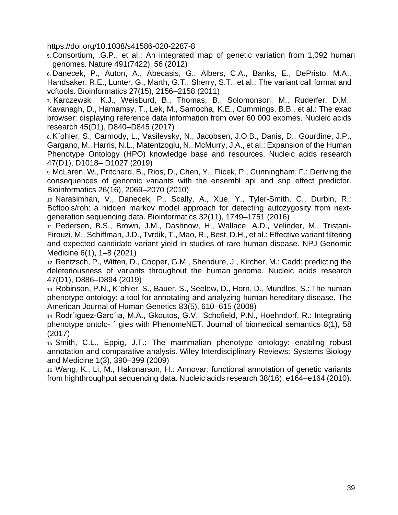https://doi.org/10.1038/s41586-020-2287-8

5. Consortium, .G.P., et al.: An integrated map of genetic variation from 1,092 human genomes. Nature 491(7422), 56 (2012)

6. Danecek, P., Auton, A., Abecasis, G., Albers, C.A., Banks, E., DePristo, M.A., Handsaker, R.E., Lunter, G., Marth, G.T., Sherry, S.T., et al.: The variant call format and vcftools. Bioinformatics 27(15), 2156–2158 (2011)

7. Karczewski, K.J., Weisburd, B., Thomas, B., Solomonson, M., Ruderfer, D.M., Kavanagh, D., Hamamsy, T., Lek, M., Samocha, K.E., Cummings, B.B., et al.: The exac browser: displaying reference data information from over 60 000 exomes. Nucleic acids research 45(D1), D840–D845 (2017)

8. K¨ohler, S., Carmody, L., Vasilevsky, N., Jacobsen, J.O.B., Danis, D., Gourdine, J.P., Gargano, M., Harris, N.L., Matentzoglu, N., McMurry, J.A., et al.: Expansion of the Human Phenotype Ontology (HPO) knowledge base and resources. Nucleic acids research 47(D1), D1018– D1027 (2019)

9. McLaren, W., Pritchard, B., Rios, D., Chen, Y., Flicek, P., Cunningham, F.: Deriving the consequences of genomic variants with the ensembl api and snp effect predictor. Bioinformatics 26(16), 2069–2070 (2010)

10. Narasimhan, V., Danecek, P., Scally, A., Xue, Y., Tyler-Smith, C., Durbin, R.: Bcftools/roh: a hidden markov model approach for detecting autozygosity from nextgeneration sequencing data. Bioinformatics 32(11), 1749–1751 (2016)

11. Pedersen, B.S., Brown, J.M., Dashnow, H., Wallace, A.D., Velinder, M., Tristani-Firouzi, M., Schiffman, J.D., Tvrdik, T., Mao, R., Best, D.H., et al.: Effective variant filtering and expected candidate variant yield in studies of rare human disease. NPJ Genomic Medicine 6(1), 1–8 (2021)

12. Rentzsch, P., Witten, D., Cooper, G.M., Shendure, J., Kircher, M.: Cadd: predicting the deleteriousness of variants throughout the human genome. Nucleic acids research 47(D1), D886–D894 (2019)

13. Robinson, P.N., K¨ohler, S., Bauer, S., Seelow, D., Horn, D., Mundlos, S.: The human phenotype ontology: a tool for annotating and analyzing human hereditary disease. The American Journal of Human Genetics 83(5), 610–615 (2008)

14. Rodr´ıguez-Garc´ıa, M.A., Gkoutos, G.V., Schofield, P.N., Hoehndorf, R.: Integrating phenotype ontolo- ´ gies with PhenomeNET. Journal of biomedical semantics 8(1), 58 (2017)

15. Smith, C.L., Eppig, J.T.: The mammalian phenotype ontology: enabling robust annotation and comparative analysis. Wiley Interdisciplinary Reviews: Systems Biology and Medicine 1(3), 390–399 (2009)

16. Wang, K., Li, M., Hakonarson, H.: Annovar: functional annotation of genetic variants from highthroughput sequencing data. Nucleic acids research 38(16), e164–e164 (2010).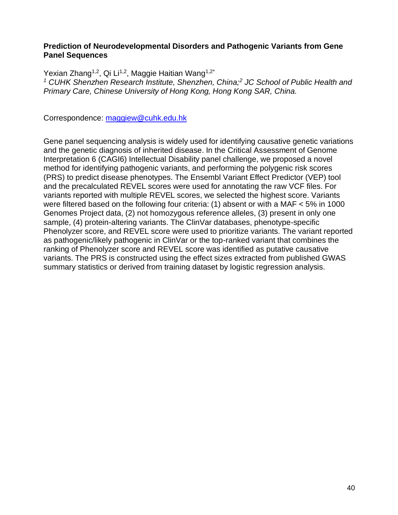#### **Prediction of Neurodevelopmental Disorders and Pathogenic Variants from Gene Panel Sequences**

Yexian Zhang<sup>1,2</sup>, Qi Li<sup>1,2</sup>, Maggie Haitian Wang<sup>1,2\*</sup> *<sup>1</sup> CUHK Shenzhen Research Institute, Shenzhen, China;<sup>2</sup> JC School of Public Health and Primary Care, Chinese University of Hong Kong, Hong Kong SAR, China.*

Correspondence: [maggiew@cuhk.edu.hk](mailto:maggiew@cuhk.edu.hk)

Gene panel sequencing analysis is widely used for identifying causative genetic variations and the genetic diagnosis of inherited disease. In the Critical Assessment of Genome Interpretation 6 (CAGI6) Intellectual Disability panel challenge, we proposed a novel method for identifying pathogenic variants, and performing the polygenic risk scores (PRS) to predict disease phenotypes. The Ensembl Variant Effect Predictor (VEP) tool and the precalculated REVEL scores were used for annotating the raw VCF files. For variants reported with multiple REVEL scores, we selected the highest score. Variants were filtered based on the following four criteria: (1) absent or with a MAF < 5% in 1000 Genomes Project data, (2) not homozygous reference alleles, (3) present in only one sample, (4) protein-altering variants. The ClinVar databases, phenotype-specific Phenolyzer score, and REVEL score were used to prioritize variants. The variant reported as pathogenic/likely pathogenic in ClinVar or the top-ranked variant that combines the ranking of Phenolyzer score and REVEL score was identified as putative causative variants. The PRS is constructed using the effect sizes extracted from published GWAS summary statistics or derived from training dataset by logistic regression analysis.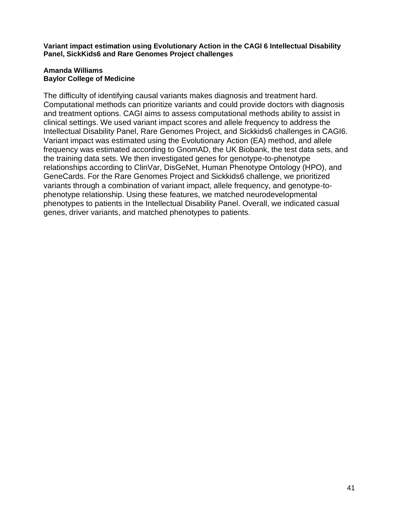**Variant impact estimation using Evolutionary Action in the CAGI 6 Intellectual Disability Panel, SickKids6 and Rare Genomes Project challenges**

#### **Amanda Williams Baylor College of Medicine**

The difficulty of identifying causal variants makes diagnosis and treatment hard. Computational methods can prioritize variants and could provide doctors with diagnosis and treatment options. CAGI aims to assess computational methods ability to assist in clinical settings. We used variant impact scores and allele frequency to address the Intellectual Disability Panel, Rare Genomes Project, and Sickkids6 challenges in CAGI6. Variant impact was estimated using the Evolutionary Action (EA) method, and allele frequency was estimated according to GnomAD, the UK Biobank, the test data sets, and the training data sets. We then investigated genes for genotype-to-phenotype relationships according to ClinVar, DisGeNet, Human Phenotype Ontology (HPO), and GeneCards. For the Rare Genomes Project and Sickkids6 challenge, we prioritized variants through a combination of variant impact, allele frequency, and genotype-tophenotype relationship. Using these features, we matched neurodevelopmental phenotypes to patients in the Intellectual Disability Panel. Overall, we indicated casual genes, driver variants, and matched phenotypes to patients.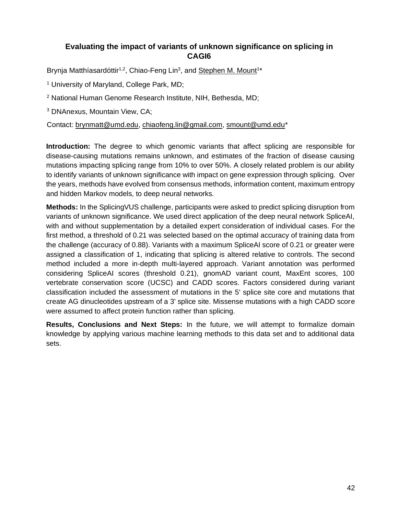#### **Evaluating the impact of variants of unknown significance on splicing in CAGI6**

Brynja Matthíasardóttir<sup>1,2</sup>, Chiao-Feng Lin<sup>3</sup>, and Stephen M. Mount<sup>1\*</sup>

<sup>1</sup> University of Maryland, College Park, MD;

<sup>2</sup> National Human Genome Research Institute, NIH, Bethesda, MD;

<sup>3</sup> DNAnexus, Mountain View, CA;

Contact: [brynmatt@umd.edu,](mailto:brynmatt@umd.edu) [chiaofeng.lin@gmail.com,](mailto:chiaofeng.lin@gmail.com) [smount@umd.edu\\*](mailto:smount@umd.edu)

**Introduction:** The degree to which genomic variants that affect splicing are responsible for disease-causing mutations remains unknown, and estimates of the fraction of disease causing mutations impacting splicing range from 10% to over 50%. A closely related problem is our ability to identify variants of unknown significance with impact on gene expression through splicing. Over the years, methods have evolved from consensus methods, information content, maximum entropy and hidden Markov models, to deep neural networks.

**Methods:** In the SplicingVUS challenge, participants were asked to predict splicing disruption from variants of unknown significance. We used direct application of the deep neural network SpliceAI, with and without supplementation by a detailed expert consideration of individual cases. For the first method, a threshold of 0.21 was selected based on the optimal accuracy of training data from the challenge (accuracy of 0.88). Variants with a maximum SpliceAI score of 0.21 or greater were assigned a classification of 1, indicating that splicing is altered relative to controls. The second method included a more in-depth multi-layered approach. Variant annotation was performed considering SpliceAI scores (threshold 0.21), gnomAD variant count, MaxEnt scores, 100 vertebrate conservation score (UCSC) and CADD scores. Factors considered during variant classification included the assessment of mutations in the 5' splice site core and mutations that create AG dinucleotides upstream of a 3' splice site. Missense mutations with a high CADD score were assumed to affect protein function rather than splicing.

**Results, Conclusions and Next Steps:** In the future, we will attempt to formalize domain knowledge by applying various machine learning methods to this data set and to additional data sets.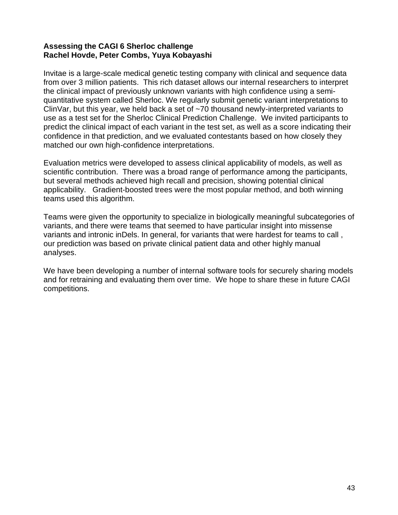#### **Assessing the CAGI 6 Sherloc challenge Rachel Hovde, Peter Combs, Yuya Kobayashi**

Invitae is a large-scale medical genetic testing company with clinical and sequence data from over 3 million patients. This rich dataset allows our internal researchers to interpret the clinical impact of previously unknown variants with high confidence using a semiquantitative system called Sherloc. We regularly submit genetic variant interpretations to ClinVar, but this year, we held back a set of ~70 thousand newly-interpreted variants to use as a test set for the Sherloc Clinical Prediction Challenge. We invited participants to predict the clinical impact of each variant in the test set, as well as a score indicating their confidence in that prediction, and we evaluated contestants based on how closely they matched our own high-confidence interpretations.

Evaluation metrics were developed to assess clinical applicability of models, as well as scientific contribution. There was a broad range of performance among the participants, but several methods achieved high recall and precision, showing potential clinical applicability. Gradient-boosted trees were the most popular method, and both winning teams used this algorithm.

Teams were given the opportunity to specialize in biologically meaningful subcategories of variants, and there were teams that seemed to have particular insight into missense variants and intronic inDels. In general, for variants that were hardest for teams to call , our prediction was based on private clinical patient data and other highly manual analyses.

We have been developing a number of internal software tools for securely sharing models and for retraining and evaluating them over time. We hope to share these in future CAGI competitions.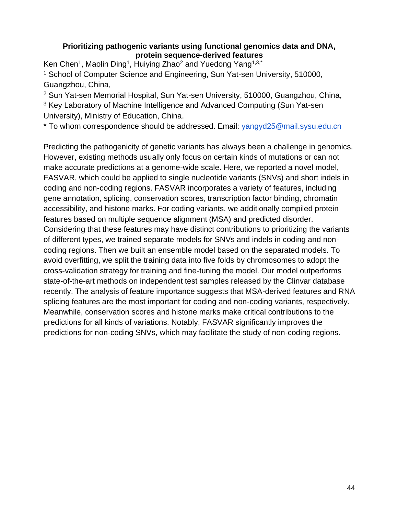#### **Prioritizing pathogenic variants using functional genomics data and DNA, protein sequence-derived features**

Ken Chen<sup>1</sup>, Maolin Ding<sup>1</sup>, Huiying Zhao<sup>2</sup> and Yuedong Yang<sup>1,3,\*</sup> <sup>1</sup> School of Computer Science and Engineering, Sun Yat-sen University, 510000, Guangzhou, China,

<sup>2</sup> Sun Yat-sen Memorial Hospital, Sun Yat-sen University, 510000, Guangzhou, China, <sup>3</sup> Key Laboratory of Machine Intelligence and Advanced Computing (Sun Yat-sen University), Ministry of Education, China.

\* To whom correspondence should be addressed. Email: [yangyd25@mail.sysu.edu.cn](mailto:yangyd25@mail.sysu.edu.cn)

Predicting the pathogenicity of genetic variants has always been a challenge in genomics. However, existing methods usually only focus on certain kinds of mutations or can not make accurate predictions at a genome-wide scale. Here, we reported a novel model, FASVAR, which could be applied to single nucleotide variants (SNVs) and short indels in coding and non-coding regions. FASVAR incorporates a variety of features, including gene annotation, splicing, conservation scores, transcription factor binding, chromatin accessibility, and histone marks. For coding variants, we additionally compiled protein features based on multiple sequence alignment (MSA) and predicted disorder. Considering that these features may have distinct contributions to prioritizing the variants of different types, we trained separate models for SNVs and indels in coding and noncoding regions. Then we built an ensemble model based on the separated models. To avoid overfitting, we split the training data into five folds by chromosomes to adopt the cross-validation strategy for training and fine-tuning the model. Our model outperforms state-of-the-art methods on independent test samples released by the Clinvar database recently. The analysis of feature importance suggests that MSA-derived features and RNA splicing features are the most important for coding and non-coding variants, respectively. Meanwhile, conservation scores and histone marks make critical contributions to the predictions for all kinds of variations. Notably, FASVAR significantly improves the predictions for non-coding SNVs, which may facilitate the study of non-coding regions.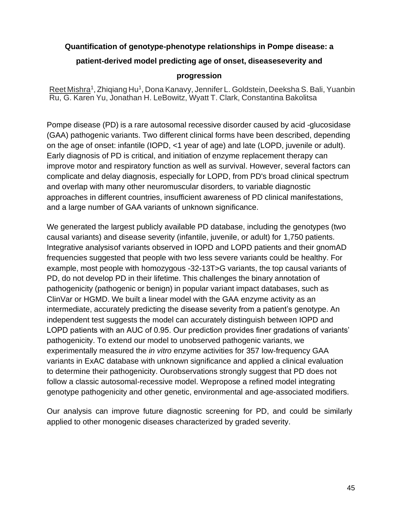#### **Quantification of genotype-phenotype relationships in Pompe disease: a**

#### **patient-derived model predicting age of onset, diseaseseverity and**

#### **progression**

Reet Mishra<sup>1</sup>, Zhiqiang Hu<sup>1</sup>, Dona Kanavy, Jennifer L. Goldstein, Deeksha S. Bali, Yuanbin Ru, G. Karen Yu, Jonathan H. LeBowitz, Wyatt T. Clark, Constantina Bakolitsa

Pompe disease (PD) is a rare autosomal recessive disorder caused by acid -glucosidase (GAA) pathogenic variants. Two different clinical forms have been described, depending on the age of onset: infantile (IOPD, <1 year of age) and late (LOPD, juvenile or adult). Early diagnosis of PD is critical, and initiation of enzyme replacement therapy can improve motor and respiratory function as well as survival. However, several factors can complicate and delay diagnosis, especially for LOPD, from PD's broad clinical spectrum and overlap with many other neuromuscular disorders, to variable diagnostic approaches in different countries, insufficient awareness of PD clinical manifestations, and a large number of GAA variants of unknown significance.

We generated the largest publicly available PD database, including the genotypes (two causal variants) and disease severity (infantile, juvenile, or adult) for 1,750 patients. Integrative analysisof variants observed in IOPD and LOPD patients and their gnomAD frequencies suggested that people with two less severe variants could be healthy. For example, most people with homozygous -32-13T>G variants, the top causal variants of PD, do not develop PD in their lifetime. This challenges the binary annotation of pathogenicity (pathogenic or benign) in popular variant impact databases, such as ClinVar or HGMD. We built a linear model with the GAA enzyme activity as an intermediate, accurately predicting the disease severity from a patient's genotype. An independent test suggests the model can accurately distinguish between IOPD and LOPD patients with an AUC of 0.95. Our prediction provides finer gradations of variants' pathogenicity. To extend our model to unobserved pathogenic variants, we experimentally measured the *in vitro* enzyme activities for 357 low-frequency GAA variants in ExAC database with unknown significance and applied a clinical evaluation to determine their pathogenicity. Ourobservations strongly suggest that PD does not follow a classic autosomal-recessive model. Wepropose a refined model integrating genotype pathogenicity and other genetic, environmental and age-associated modifiers.

Our analysis can improve future diagnostic screening for PD, and could be similarly applied to other monogenic diseases characterized by graded severity.